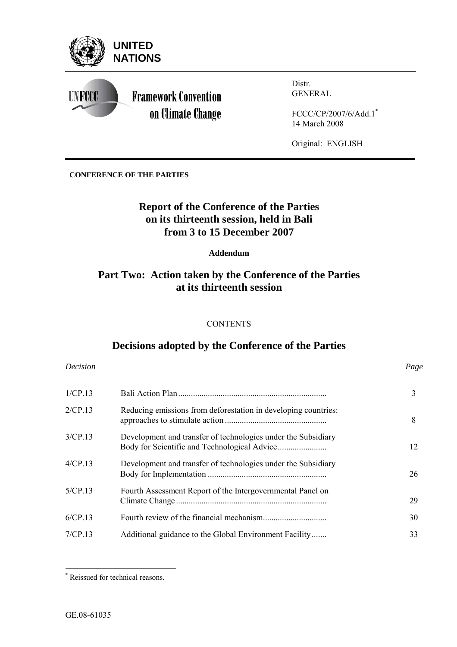

#### **CONFERENCE OF THE PARTIES**

# **Report of the Conference of the Parties on its thirteenth session, held in Bali from 3 to 15 December 2007**

**Addendum** 

# **Part Two: Action taken by the Conference of the Parties at its thirteenth session**

### **CONTENTS**

# **Decisions adopted by the Conference of the Parties**

### *Decision Page*

| 1/CP.13 |                                                                | 3  |
|---------|----------------------------------------------------------------|----|
| 2/CP.13 | Reducing emissions from deforestation in developing countries: | 8  |
| 3/CP.13 | Development and transfer of technologies under the Subsidiary  | 12 |
| 4/CP.13 | Development and transfer of technologies under the Subsidiary  | 26 |
| 5/CP.13 | Fourth Assessment Report of the Intergovernmental Panel on     | 29 |
| 6/CP.13 |                                                                | 30 |
| 7/CP.13 | Additional guidance to the Global Environment Facility         | 33 |

 \* Reissued for technical reasons.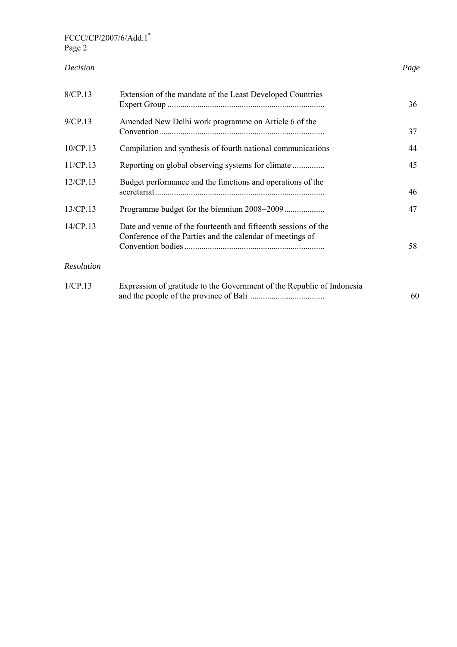#### *Decision Page*

| 8/CP.13           | Extension of the mandate of the Least Developed Countries                                                                   | 36 |
|-------------------|-----------------------------------------------------------------------------------------------------------------------------|----|
| 9/CP.13           | Amended New Delhi work programme on Article 6 of the                                                                        | 37 |
| 10/CP.13          | Compilation and synthesis of fourth national communications                                                                 | 44 |
| 11/CP.13          | Reporting on global observing systems for climate                                                                           | 45 |
| 12/CP.13          | Budget performance and the functions and operations of the                                                                  | 46 |
| 13/CP.13          |                                                                                                                             | 47 |
| 14/CP.13          | Date and venue of the fourteenth and fifteenth sessions of the<br>Conference of the Parties and the calendar of meetings of | 58 |
| <b>Resolution</b> |                                                                                                                             |    |
| 1/CP.13           | Expression of gratitude to the Government of the Republic of Indonesia                                                      | 60 |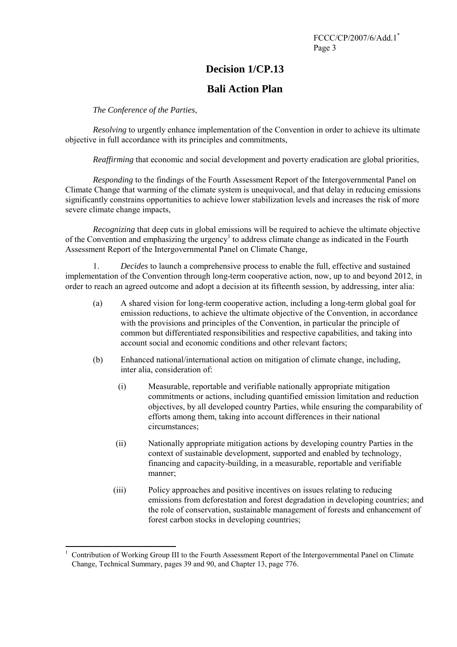# **Decision 1/CP.13**

# **Bali Action Plan**

 *The Conference of the Parties*,

 *Resolving* to urgently enhance implementation of the Convention in order to achieve its ultimate objective in full accordance with its principles and commitments,

 *Reaffirming* that economic and social development and poverty eradication are global priorities,

*Responding* to the findings of the Fourth Assessment Report of the Intergovernmental Panel on Climate Change that warming of the climate system is unequivocal, and that delay in reducing emissions significantly constrains opportunities to achieve lower stabilization levels and increases the risk of more severe climate change impacts,

*Recognizing* that deep cuts in global emissions will be required to achieve the ultimate objective of the Convention and emphasizing the urgency<sup>1</sup> to address climate change as indicated in the Fourth Assessment Report of the Intergovernmental Panel on Climate Change,

1. *Decides* to launch a comprehensive process to enable the full, effective and sustained implementation of the Convention through long-term cooperative action, now, up to and beyond 2012, in order to reach an agreed outcome and adopt a decision at its fifteenth session, by addressing, inter alia:

- (a) A shared vision for long-term cooperative action, including a long-term global goal for emission reductions, to achieve the ultimate objective of the Convention, in accordance with the provisions and principles of the Convention, in particular the principle of common but differentiated responsibilities and respective capabilities, and taking into account social and economic conditions and other relevant factors;
- (b) Enhanced national/international action on mitigation of climate change, including, inter alia, consideration of:
	- (i) Measurable, reportable and verifiable nationally appropriate mitigation commitments or actions, including quantified emission limitation and reduction objectives, by all developed country Parties, while ensuring the comparability of efforts among them, taking into account differences in their national circumstances;
	- (ii) Nationally appropriate mitigation actions by developing country Parties in the context of sustainable development, supported and enabled by technology, financing and capacity-building, in a measurable, reportable and verifiable manner;
	- (iii) Policy approaches and positive incentives on issues relating to reducing emissions from deforestation and forest degradation in developing countries; and the role of conservation, sustainable management of forests and enhancement of forest carbon stocks in developing countries;

<sup>1</sup> Contribution of Working Group III to the Fourth Assessment Report of the Intergovernmental Panel on Climate Change, Technical Summary, pages 39 and 90, and Chapter 13, page 776.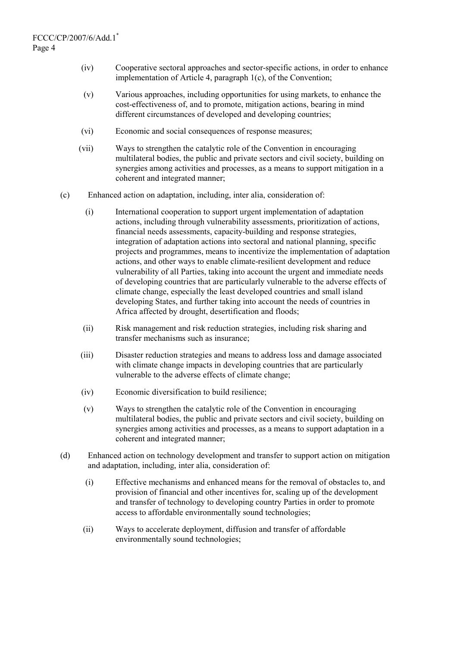- (iv) Cooperative sectoral approaches and sector-specific actions, in order to enhance implementation of Article 4, paragraph 1(c), of the Convention;
- (v) Various approaches, including opportunities for using markets, to enhance the cost-effectiveness of, and to promote, mitigation actions, bearing in mind different circumstances of developed and developing countries;
- (vi) Economic and social consequences of response measures;
- (vii) Ways to strengthen the catalytic role of the Convention in encouraging multilateral bodies, the public and private sectors and civil society, building on synergies among activities and processes, as a means to support mitigation in a coherent and integrated manner;
- (c) Enhanced action on adaptation, including, inter alia, consideration of:
	- (i) International cooperation to support urgent implementation of adaptation actions, including through vulnerability assessments, prioritization of actions, financial needs assessments, capacity-building and response strategies, integration of adaptation actions into sectoral and national planning, specific projects and programmes, means to incentivize the implementation of adaptation actions, and other ways to enable climate-resilient development and reduce vulnerability of all Parties, taking into account the urgent and immediate needs of developing countries that are particularly vulnerable to the adverse effects of climate change, especially the least developed countries and small island developing States, and further taking into account the needs of countries in Africa affected by drought, desertification and floods;
	- (ii) Risk management and risk reduction strategies, including risk sharing and transfer mechanisms such as insurance;
	- (iii) Disaster reduction strategies and means to address loss and damage associated with climate change impacts in developing countries that are particularly vulnerable to the adverse effects of climate change;
	- (iv) Economic diversification to build resilience;
	- (v) Ways to strengthen the catalytic role of the Convention in encouraging multilateral bodies, the public and private sectors and civil society, building on synergies among activities and processes, as a means to support adaptation in a coherent and integrated manner;
- (d) Enhanced action on technology development and transfer to support action on mitigation and adaptation, including, inter alia, consideration of:
	- (i) Effective mechanisms and enhanced means for the removal of obstacles to, and provision of financial and other incentives for, scaling up of the development and transfer of technology to developing country Parties in order to promote access to affordable environmentally sound technologies;
	- (ii) Ways to accelerate deployment, diffusion and transfer of affordable environmentally sound technologies;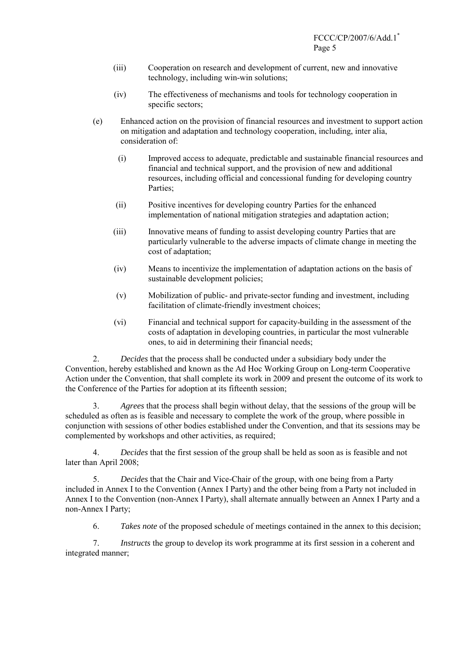- (iii) Cooperation on research and development of current, new and innovative technology, including win-win solutions;
- (iv) The effectiveness of mechanisms and tools for technology cooperation in specific sectors;
- (e) Enhanced action on the provision of financial resources and investment to support action on mitigation and adaptation and technology cooperation, including, inter alia, consideration of:
	- (i) Improved access to adequate, predictable and sustainable financial resources and financial and technical support, and the provision of new and additional resources, including official and concessional funding for developing country Parties;
	- (ii) Positive incentives for developing country Parties for the enhanced implementation of national mitigation strategies and adaptation action;
	- (iii) Innovative means of funding to assist developing country Parties that are particularly vulnerable to the adverse impacts of climate change in meeting the cost of adaptation;
	- (iv) Means to incentivize the implementation of adaptation actions on the basis of sustainable development policies;
	- (v) Mobilization of public- and private-sector funding and investment, including facilitation of climate-friendly investment choices;
	- (vi) Financial and technical support for capacity-building in the assessment of the costs of adaptation in developing countries, in particular the most vulnerable ones, to aid in determining their financial needs;

2. *Decides* that the process shall be conducted under a subsidiary body under the Convention, hereby established and known as the Ad Hoc Working Group on Long-term Cooperative Action under the Convention, that shall complete its work in 2009 and present the outcome of its work to the Conference of the Parties for adoption at its fifteenth session;

3. *Agrees* that the process shall begin without delay, that the sessions of the group will be scheduled as often as is feasible and necessary to complete the work of the group, where possible in conjunction with sessions of other bodies established under the Convention, and that its sessions may be complemented by workshops and other activities, as required;

4. *Decides* that the first session of the group shall be held as soon as is feasible and not later than April 2008;

5. *Decides* that the Chair and Vice-Chair of the group, with one being from a Party included in Annex I to the Convention (Annex I Party) and the other being from a Party not included in Annex I to the Convention (non-Annex I Party), shall alternate annually between an Annex I Party and a non-Annex I Party;

6. *Takes note* of the proposed schedule of meetings contained in the annex to this decision;

7. *Instructs* the group to develop its work programme at its first session in a coherent and integrated manner;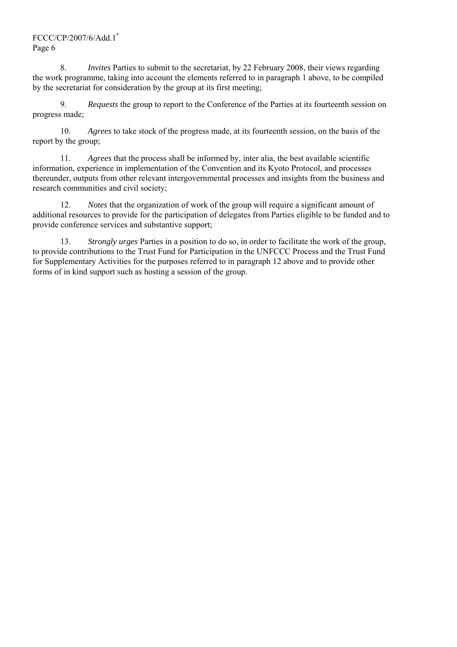8. *Invites* Parties to submit to the secretariat, by 22 February 2008, their views regarding the work programme, taking into account the elements referred to in paragraph 1 above, to be compiled by the secretariat for consideration by the group at its first meeting;

9. *Requests* the group to report to the Conference of the Parties at its fourteenth session on progress made;

10. *Agrees* to take stock of the progress made, at its fourteenth session, on the basis of the report by the group;

11. *Agrees* that the process shall be informed by, inter alia, the best available scientific information, experience in implementation of the Convention and its Kyoto Protocol, and processes thereunder, outputs from other relevant intergovernmental processes and insights from the business and research communities and civil society;

12. *Notes* that the organization of work of the group will require a significant amount of additional resources to provide for the participation of delegates from Parties eligible to be funded and to provide conference services and substantive support;

13. *Strongly urges* Parties in a position to do so, in order to facilitate the work of the group, to provide contributions to the Trust Fund for Participation in the UNFCCC Process and the Trust Fund for Supplementary Activities for the purposes referred to in paragraph 12 above and to provide other forms of in kind support such as hosting a session of the group.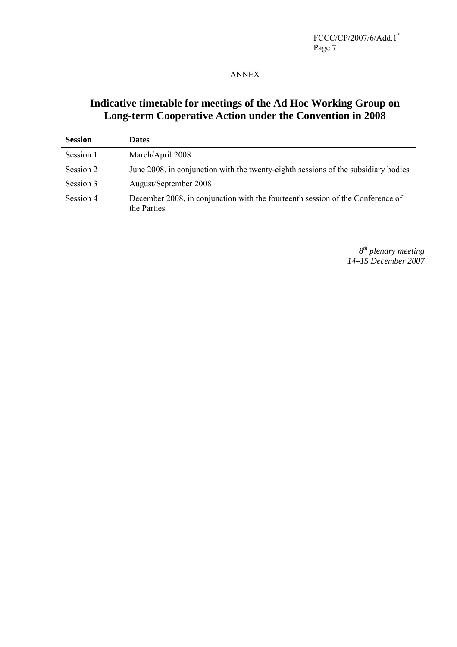## ANNEX

# **Indicative timetable for meetings of the Ad Hoc Working Group on Long-term Cooperative Action under the Convention in 2008**

| <b>Session</b> | <b>Dates</b>                                                                                  |
|----------------|-----------------------------------------------------------------------------------------------|
| Session 1      | March/April 2008                                                                              |
| Session 2      | June 2008, in conjunction with the twenty-eighth sessions of the subsidiary bodies            |
| Session 3      | August/September 2008                                                                         |
| Session 4      | December 2008, in conjunction with the fourteenth session of the Conference of<br>the Parties |

*8th plenary meeting 14–15 December 2007*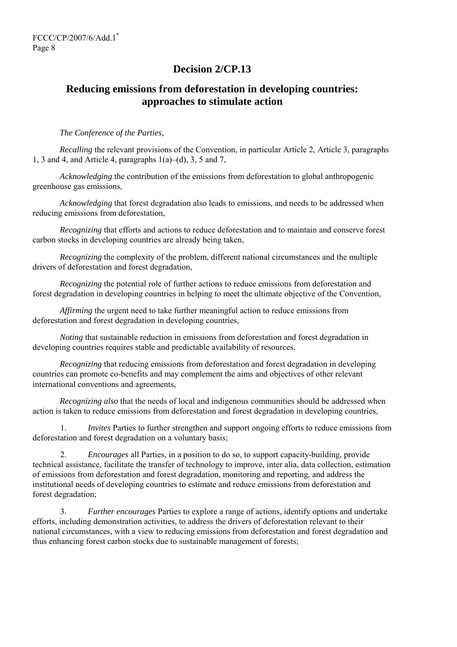# **Decision 2/CP.13**

# **Reducing emissions from deforestation in developing countries: approaches to stimulate action**

### *The Conference of the Parties,*

*Recalling* the relevant provisions of the Convention, in particular Article 2, Article 3, paragraphs 1, 3 and 4, and Article 4, paragraphs  $1(a)$ –(d), 3, 5 and 7,

*Acknowledging* the contribution of the emissions from deforestation to global anthropogenic greenhouse gas emissions,

*Acknowledging* that forest degradation also leads to emissions, and needs to be addressed when reducing emissions from deforestation,

*Recognizing* that efforts and actions to reduce deforestation and to maintain and conserve forest carbon stocks in developing countries are already being taken,

*Recognizing* the complexity of the problem, different national circumstances and the multiple drivers of deforestation and forest degradation,

*Recognizing* the potential role of further actions to reduce emissions from deforestation and forest degradation in developing countries in helping to meet the ultimate objective of the Convention,

*Affirming* the urgent need to take further meaningful action to reduce emissions from deforestation and forest degradation in developing countries,

*Noting* that sustainable reduction in emissions from deforestation and forest degradation in developing countries requires stable and predictable availability of resources,

*Recognizing* that reducing emissions from deforestation and forest degradation in developing countries can promote co-benefits and may complement the aims and objectives of other relevant international conventions and agreements,

*Recognizing also* that the needs of local and indigenous communities should be addressed when action is taken to reduce emissions from deforestation and forest degradation in developing countries,

*Invites* Parties to further strengthen and support ongoing efforts to reduce emissions from deforestation and forest degradation on a voluntary basis;

2. *Encourages* all Parties, in a position to do so, to support capacity-building, provide technical assistance, facilitate the transfer of technology to improve, inter alia, data collection, estimation of emissions from deforestation and forest degradation, monitoring and reporting, and address the institutional needs of developing countries to estimate and reduce emissions from deforestation and forest degradation;

3. *Further encourages* Parties to explore a range of actions, identify options and undertake efforts, including demonstration activities, to address the drivers of deforestation relevant to their national circumstances, with a view to reducing emissions from deforestation and forest degradation and thus enhancing forest carbon stocks due to sustainable management of forests;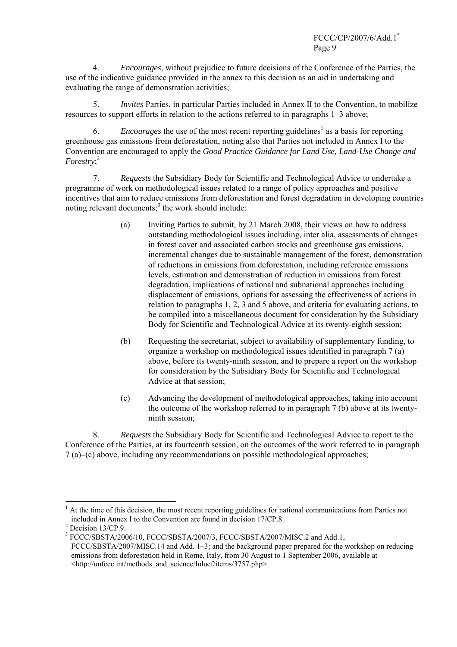4. *Encourages*, without prejudice to future decisions of the Conference of the Parties, the use of the indicative guidance provided in the annex to this decision as an aid in undertaking and evaluating the range of demonstration activities;

5. *Invites* Parties, in particular Parties included in Annex II to the Convention, to mobilize resources to support efforts in relation to the actions referred to in paragraphs  $1-3$  above;

6. *Encourages* the use of the most recent reporting guidelines<sup>1</sup> as a basis for reporting greenhouse gas emissions from deforestation, noting also that Parties not included in Annex I to the Convention are encouraged to apply the *Good Practice Guidance for Land Use, Land-Use Change and Forestry*; 2

7. *Requests* the Subsidiary Body for Scientific and Technological Advice to undertake a programme of work on methodological issues related to a range of policy approaches and positive incentives that aim to reduce emissions from deforestation and forest degradation in developing countries noting relevant documents;<sup>3</sup> the work should include:

- (a) Inviting Parties to submit, by 21 March 2008, their views on how to address outstanding methodological issues including, inter alia, assessments of changes in forest cover and associated carbon stocks and greenhouse gas emissions, incremental changes due to sustainable management of the forest, demonstration of reductions in emissions from deforestation, including reference emissions levels, estimation and demonstration of reduction in emissions from forest degradation, implications of national and subnational approaches including displacement of emissions, options for assessing the effectiveness of actions in relation to paragraphs 1, 2, 3 and 5 above, and criteria for evaluating actions, to be compiled into a miscellaneous document for consideration by the Subsidiary Body for Scientific and Technological Advice at its twenty-eighth session;
- (b) Requesting the secretariat, subject to availability of supplementary funding, to organize a workshop on methodological issues identified in paragraph 7 (a) above, before its twenty-ninth session, and to prepare a report on the workshop for consideration by the Subsidiary Body for Scientific and Technological Advice at that session;
- (c) Advancing the development of methodological approaches, taking into account the outcome of the workshop referred to in paragraph 7 (b) above at its twentyninth session;

8. *Requests* the Subsidiary Body for Scientific and Technological Advice to report to the Conference of the Parties, at its fourteenth session, on the outcomes of the work referred to in paragraph  $7$  (a)–(c) above, including any recommendations on possible methodological approaches;

<sup>1</sup> At the time of this decision, the most recent reporting guidelines for national communications from Parties not included in Annex I to the Convention are found in decision 17/CP.8.

<sup>2</sup> Decision 13/CP.9.

<sup>&</sup>lt;sup>3</sup> FCCC/SBSTA/2006/10, FCCC/SBSTA/2007/3, FCCC/SBSTA/2007/MISC.2 and Add.1,  $FCCC/SBSTA/2007/MISC.14$  and Add. 1–3; and the background paper prepared for the workshop on reducing emissions from deforestation held in Rome, Italy, from 30 August to 1 September 2006, available at <http://unfccc.int/methods\_and\_science/lulucf/items/3757.php>.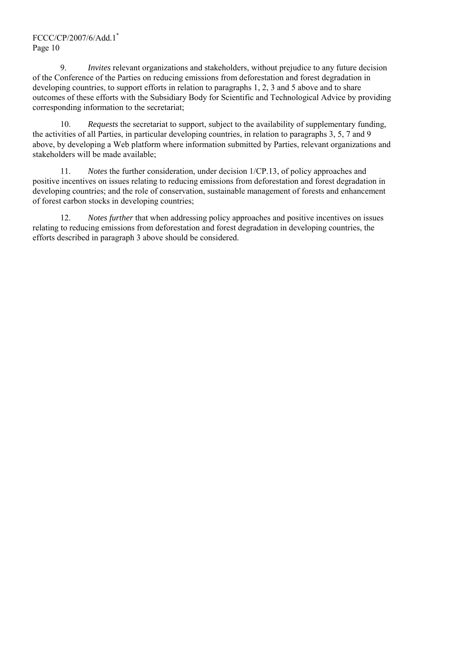9. *Invites* relevant organizations and stakeholders, without prejudice to any future decision of the Conference of the Parties on reducing emissions from deforestation and forest degradation in developing countries, to support efforts in relation to paragraphs 1, 2, 3 and 5 above and to share outcomes of these efforts with the Subsidiary Body for Scientific and Technological Advice by providing corresponding information to the secretariat;

10. *Requests* the secretariat to support, subject to the availability of supplementary funding, the activities of all Parties, in particular developing countries, in relation to paragraphs 3, 5, 7 and 9 above, by developing a Web platform where information submitted by Parties, relevant organizations and stakeholders will be made available;

11. *Notes* the further consideration, under decision 1/CP.13, of policy approaches and positive incentives on issues relating to reducing emissions from deforestation and forest degradation in developing countries; and the role of conservation, sustainable management of forests and enhancement of forest carbon stocks in developing countries;

12. *Notes further* that when addressing policy approaches and positive incentives on issues relating to reducing emissions from deforestation and forest degradation in developing countries, the efforts described in paragraph 3 above should be considered.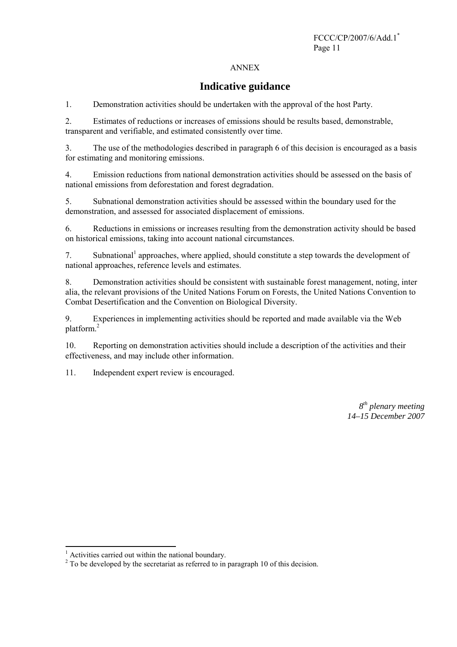### ANNEX

# **Indicative guidance**

1. Demonstration activities should be undertaken with the approval of the host Party.

2. Estimates of reductions or increases of emissions should be results based, demonstrable, transparent and verifiable, and estimated consistently over time.

3. The use of the methodologies described in paragraph 6 of this decision is encouraged as a basis for estimating and monitoring emissions.

4. Emission reductions from national demonstration activities should be assessed on the basis of national emissions from deforestation and forest degradation.

5. Subnational demonstration activities should be assessed within the boundary used for the demonstration, and assessed for associated displacement of emissions.

6. Reductions in emissions or increases resulting from the demonstration activity should be based on historical emissions, taking into account national circumstances.

7. Subnational<sup>1</sup> approaches, where applied, should constitute a step towards the development of national approaches, reference levels and estimates.

8. Demonstration activities should be consistent with sustainable forest management, noting, inter alia, the relevant provisions of the United Nations Forum on Forests, the United Nations Convention to Combat Desertification and the Convention on Biological Diversity.

9. Experiences in implementing activities should be reported and made available via the Web platform.2

10. Reporting on demonstration activities should include a description of the activities and their effectiveness, and may include other information.

11. Independent expert review is encouraged.

*8th plenary meeting 14–15 December 2007*

<sup>&</sup>lt;sup>1</sup> Activities carried out within the national boundary.

 $2^2$  To be developed by the secretariat as referred to in paragraph 10 of this decision.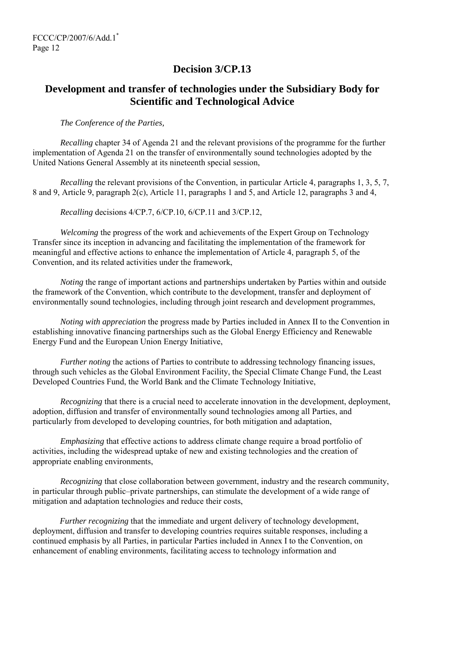# **Decision 3/CP.13**

# **Development and transfer of technologies under the Subsidiary Body for Scientific and Technological Advice**

### *The Conference of the Parties,*

*Recalling* chapter 34 of Agenda 21 and the relevant provisions of the programme for the further implementation of Agenda 21 on the transfer of environmentally sound technologies adopted by the United Nations General Assembly at its nineteenth special session,

*Recalling* the relevant provisions of the Convention, in particular Article 4, paragraphs 1, 3, 5, 7, 8 and 9, Article 9, paragraph 2(c), Article 11, paragraphs 1 and 5, and Article 12, paragraphs 3 and 4,

*Recalling* decisions 4/CP.7, 6/CP.10, 6/CP.11 and 3/CP.12,

*Welcoming* the progress of the work and achievements of the Expert Group on Technology Transfer since its inception in advancing and facilitating the implementation of the framework for meaningful and effective actions to enhance the implementation of Article 4, paragraph 5, of the Convention, and its related activities under the framework,

*Noting* the range of important actions and partnerships undertaken by Parties within and outside the framework of the Convention, which contribute to the development, transfer and deployment of environmentally sound technologies, including through joint research and development programmes,

*Noting with appreciation* the progress made by Parties included in Annex II to the Convention in establishing innovative financing partnerships such as the Global Energy Efficiency and Renewable Energy Fund and the European Union Energy Initiative,

*Further noting* the actions of Parties to contribute to addressing technology financing issues, through such vehicles as the Global Environment Facility, the Special Climate Change Fund, the Least Developed Countries Fund, the World Bank and the Climate Technology Initiative,

*Recognizing* that there is a crucial need to accelerate innovation in the development, deployment, adoption, diffusion and transfer of environmentally sound technologies among all Parties, and particularly from developed to developing countries, for both mitigation and adaptation,

*Emphasizing* that effective actions to address climate change require a broad portfolio of activities, including the widespread uptake of new and existing technologies and the creation of appropriate enabling environments,

*Recognizing* that close collaboration between government, industry and the research community, in particular through public-private partnerships, can stimulate the development of a wide range of mitigation and adaptation technologies and reduce their costs,

*Further recognizing* that the immediate and urgent delivery of technology development, deployment, diffusion and transfer to developing countries requires suitable responses, including a continued emphasis by all Parties, in particular Parties included in Annex I to the Convention, on enhancement of enabling environments, facilitating access to technology information and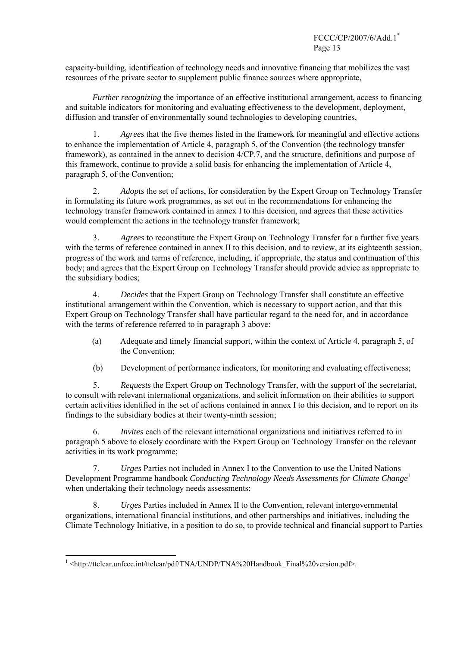capacity-building, identification of technology needs and innovative financing that mobilizes the vast resources of the private sector to supplement public finance sources where appropriate,

*Further recognizing* the importance of an effective institutional arrangement, access to financing and suitable indicators for monitoring and evaluating effectiveness to the development, deployment, diffusion and transfer of environmentally sound technologies to developing countries,

1. *Agrees* that the five themes listed in the framework for meaningful and effective actions to enhance the implementation of Article 4, paragraph 5, of the Convention (the technology transfer framework), as contained in the annex to decision 4/CP.7, and the structure, definitions and purpose of this framework, continue to provide a solid basis for enhancing the implementation of Article 4, paragraph 5, of the Convention;

2. *Adopts* the set of actions, for consideration by the Expert Group on Technology Transfer in formulating its future work programmes, as set out in the recommendations for enhancing the technology transfer framework contained in annex I to this decision, and agrees that these activities would complement the actions in the technology transfer framework;

3. *Agrees* to reconstitute the Expert Group on Technology Transfer for a further five years with the terms of reference contained in annex II to this decision, and to review, at its eighteenth session, progress of the work and terms of reference, including, if appropriate, the status and continuation of this body; and agrees that the Expert Group on Technology Transfer should provide advice as appropriate to the subsidiary bodies;

4. *Decides* that the Expert Group on Technology Transfer shall constitute an effective institutional arrangement within the Convention, which is necessary to support action, and that this Expert Group on Technology Transfer shall have particular regard to the need for, and in accordance with the terms of reference referred to in paragraph 3 above:

- (a) Adequate and timely financial support, within the context of Article 4, paragraph 5, of the Convention;
- (b) Development of performance indicators, for monitoring and evaluating effectiveness;

5. *Requests* the Expert Group on Technology Transfer, with the support of the secretariat, to consult with relevant international organizations, and solicit information on their abilities to support certain activities identified in the set of actions contained in annex I to this decision, and to report on its findings to the subsidiary bodies at their twenty-ninth session;

6. *Invites* each of the relevant international organizations and initiatives referred to in paragraph 5 above to closely coordinate with the Expert Group on Technology Transfer on the relevant activities in its work programme;

7. *Urges* Parties not included in Annex I to the Convention to use the United Nations Development Programme handbook *Conducting Technology Needs Assessments for Climate Change*<sup>1</sup> when undertaking their technology needs assessments;

8. *Urges* Parties included in Annex II to the Convention, relevant intergovernmental organizations, international financial institutions, and other partnerships and initiatives, including the Climate Technology Initiative, in a position to do so, to provide technical and financial support to Parties

 $\overline{a}$ 

<sup>&</sup>lt;sup>1</sup> <http://ttclear.unfccc.int/ttclear/pdf/TNA/UNDP/TNA%20Handbook\_Final%20version.pdf>.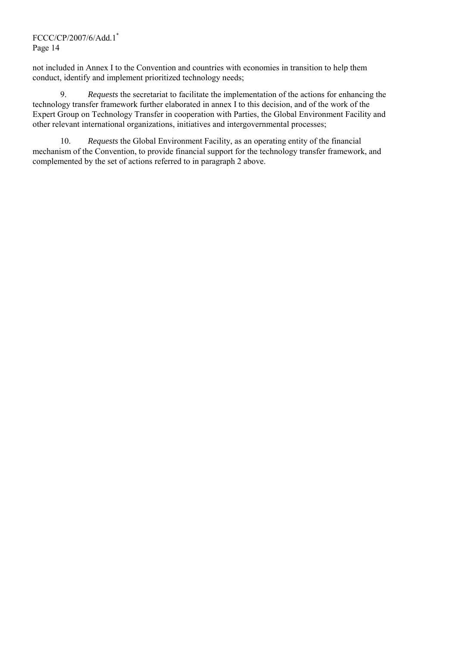not included in Annex I to the Convention and countries with economies in transition to help them conduct, identify and implement prioritized technology needs;

9. *Requests* the secretariat to facilitate the implementation of the actions for enhancing the technology transfer framework further elaborated in annex I to this decision, and of the work of the Expert Group on Technology Transfer in cooperation with Parties, the Global Environment Facility and other relevant international organizations, initiatives and intergovernmental processes;

10. *Requests* the Global Environment Facility, as an operating entity of the financial mechanism of the Convention, to provide financial support for the technology transfer framework, and complemented by the set of actions referred to in paragraph 2 above.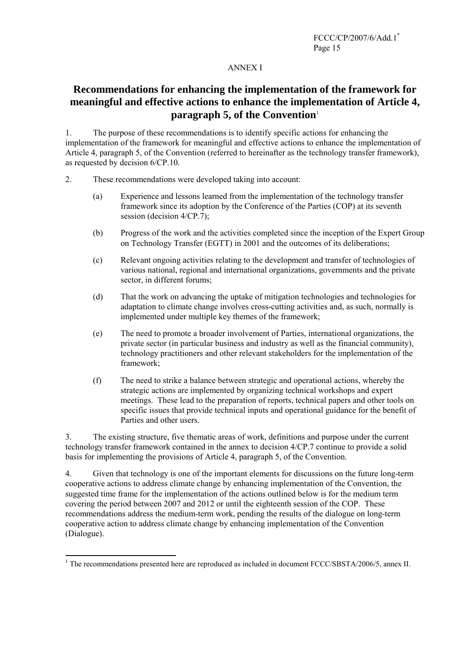### ANNEX I

# **Recommendations for enhancing the implementation of the framework for meaningful and effective actions to enhance the implementation of Article 4, paragraph 5, of the Convention**<sup>1</sup>

1. The purpose of these recommendations is to identify specific actions for enhancing the implementation of the framework for meaningful and effective actions to enhance the implementation of Article 4, paragraph 5, of the Convention (referred to hereinafter as the technology transfer framework), as requested by decision 6/CP.10.

- 2. These recommendations were developed taking into account:
	- (a) Experience and lessons learned from the implementation of the technology transfer framework since its adoption by the Conference of the Parties (COP) at its seventh session (decision  $4/CP.7$ );
	- (b) Progress of the work and the activities completed since the inception of the Expert Group on Technology Transfer (EGTT) in 2001 and the outcomes of its deliberations;
	- (c) Relevant ongoing activities relating to the development and transfer of technologies of various national, regional and international organizations, governments and the private sector, in different forums;
	- (d) That the work on advancing the uptake of mitigation technologies and technologies for adaptation to climate change involves cross-cutting activities and, as such, normally is implemented under multiple key themes of the framework;
	- (e) The need to promote a broader involvement of Parties, international organizations, the private sector (in particular business and industry as well as the financial community), technology practitioners and other relevant stakeholders for the implementation of the framework;
	- (f) The need to strike a balance between strategic and operational actions, whereby the strategic actions are implemented by organizing technical workshops and expert meetings. These lead to the preparation of reports, technical papers and other tools on specific issues that provide technical inputs and operational guidance for the benefit of Parties and other users.

3. The existing structure, five thematic areas of work, definitions and purpose under the current technology transfer framework contained in the annex to decision 4/CP.7 continue to provide a solid basis for implementing the provisions of Article 4, paragraph 5, of the Convention.

4. Given that technology is one of the important elements for discussions on the future long-term cooperative actions to address climate change by enhancing implementation of the Convention, the suggested time frame for the implementation of the actions outlined below is for the medium term covering the period between 2007 and 2012 or until the eighteenth session of the COP. These recommendations address the medium-term work, pending the results of the dialogue on long-term cooperative action to address climate change by enhancing implementation of the Convention (Dialogue).

 $\overline{a}$ 

<sup>&</sup>lt;sup>1</sup> The recommendations presented here are reproduced as included in document FCCC/SBSTA/2006/5, annex II.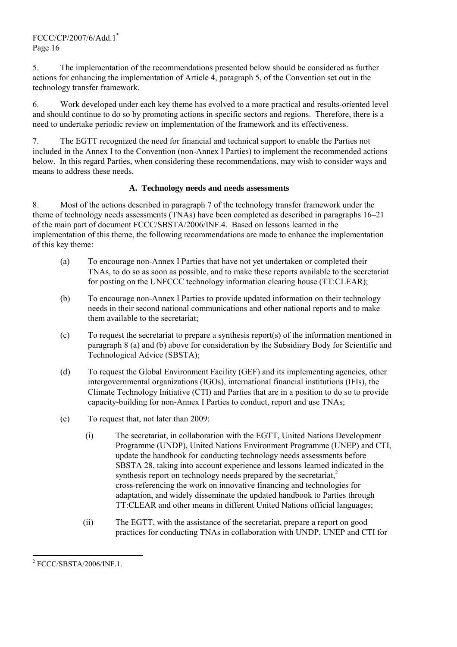5. The implementation of the recommendations presented below should be considered as further actions for enhancing the implementation of Article 4, paragraph 5, of the Convention set out in the technology transfer framework.

6. Work developed under each key theme has evolved to a more practical and results-oriented level and should continue to do so by promoting actions in specific sectors and regions. Therefore, there is a need to undertake periodic review on implementation of the framework and its effectiveness.

7. The EGTT recognized the need for financial and technical support to enable the Parties not included in the Annex I to the Convention (non-Annex I Parties) to implement the recommended actions below. In this regard Parties, when considering these recommendations, may wish to consider ways and means to address these needs.

### **A. Technology needs and needs assessments**

8. Most of the actions described in paragraph 7 of the technology transfer framework under the theme of technology needs assessments  $(TNAs)$  have been completed as described in paragraphs  $16-21$ of the main part of document FCCC/SBSTA/2006/INF.4. Based on lessons learned in the implementation of this theme, the following recommendations are made to enhance the implementation of this key theme:

- (a) To encourage non-Annex I Parties that have not yet undertaken or completed their TNAs, to do so as soon as possible, and to make these reports available to the secretariat for posting on the UNFCCC technology information clearing house (TT:CLEAR);
- (b) To encourage non-Annex I Parties to provide updated information on their technology needs in their second national communications and other national reports and to make them available to the secretariat;
- (c) To request the secretariat to prepare a synthesis report(s) of the information mentioned in paragraph 8 (a) and (b) above for consideration by the Subsidiary Body for Scientific and Technological Advice (SBSTA);
- (d) To request the Global Environment Facility (GEF) and its implementing agencies, other intergovernmental organizations (IGOs), international financial institutions (IFIs), the Climate Technology Initiative (CTI) and Parties that are in a position to do so to provide capacity-building for non-Annex I Parties to conduct, report and use TNAs;
- (e) To request that, not later than 2009:
	- (i) The secretariat, in collaboration with the EGTT, United Nations Development Programme (UNDP), United Nations Environment Programme (UNEP) and CTI, update the handbook for conducting technology needs assessments before SBSTA 28, taking into account experience and lessons learned indicated in the synthesis report on technology needs prepared by the secretariat.<sup>2</sup> cross-referencing the work on innovative financing and technologies for adaptation, and widely disseminate the updated handbook to Parties through TT:CLEAR and other means in different United Nations official languages;
	- (ii) The EGTT, with the assistance of the secretariat, prepare a report on good practices for conducting TNAs in collaboration with UNDP, UNEP and CTI for

 $\overline{\phantom{a}}$ <sup>2</sup> FCCC/SBSTA/2006/INF.1.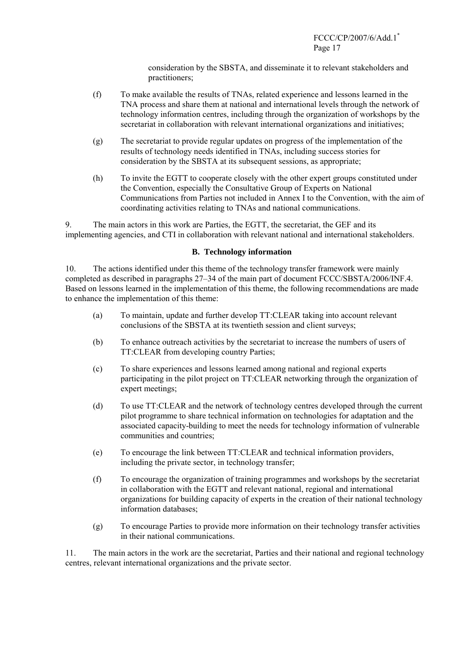consideration by the SBSTA, and disseminate it to relevant stakeholders and practitioners;

- (f) To make available the results of TNAs, related experience and lessons learned in the TNA process and share them at national and international levels through the network of technology information centres, including through the organization of workshops by the secretariat in collaboration with relevant international organizations and initiatives;
- (g) The secretariat to provide regular updates on progress of the implementation of the results of technology needs identified in TNAs, including success stories for consideration by the SBSTA at its subsequent sessions, as appropriate;
- (h) To invite the EGTT to cooperate closely with the other expert groups constituted under the Convention, especially the Consultative Group of Experts on National Communications from Parties not included in Annex I to the Convention, with the aim of coordinating activities relating to TNAs and national communications.

9. The main actors in this work are Parties, the EGTT, the secretariat, the GEF and its implementing agencies, and CTI in collaboration with relevant national and international stakeholders.

### **B. Technology information**

10. The actions identified under this theme of the technology transfer framework were mainly completed as described in paragraphs  $27-34$  of the main part of document  $FCCC/SBSTA/2006/INF.4$ . Based on lessons learned in the implementation of this theme, the following recommendations are made to enhance the implementation of this theme:

- (a) To maintain, update and further develop TT:CLEAR taking into account relevant conclusions of the SBSTA at its twentieth session and client surveys;
- (b) To enhance outreach activities by the secretariat to increase the numbers of users of TT:CLEAR from developing country Parties;
- (c) To share experiences and lessons learned among national and regional experts participating in the pilot project on TT:CLEAR networking through the organization of expert meetings;
- (d) To use TT:CLEAR and the network of technology centres developed through the current pilot programme to share technical information on technologies for adaptation and the associated capacity-building to meet the needs for technology information of vulnerable communities and countries;
- (e) To encourage the link between TT:CLEAR and technical information providers, including the private sector, in technology transfer;
- (f) To encourage the organization of training programmes and workshops by the secretariat in collaboration with the EGTT and relevant national, regional and international organizations for building capacity of experts in the creation of their national technology information databases;
- (g) To encourage Parties to provide more information on their technology transfer activities in their national communications.

11. The main actors in the work are the secretariat, Parties and their national and regional technology centres, relevant international organizations and the private sector.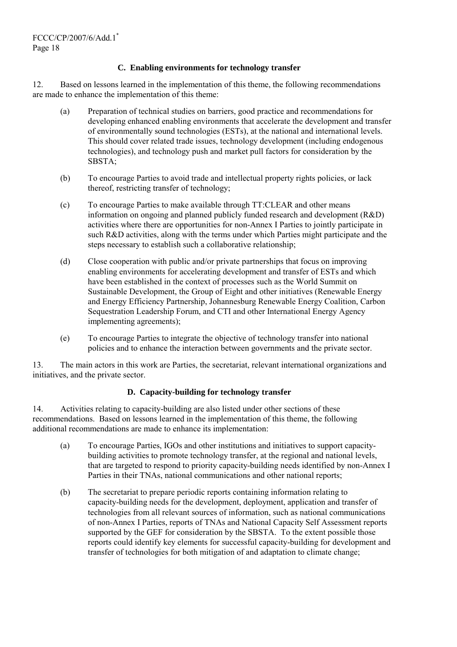### **C. Enabling environments for technology transfer**

12. Based on lessons learned in the implementation of this theme, the following recommendations are made to enhance the implementation of this theme:

- (a) Preparation of technical studies on barriers, good practice and recommendations for developing enhanced enabling environments that accelerate the development and transfer of environmentally sound technologies (ESTs), at the national and international levels. This should cover related trade issues, technology development (including endogenous technologies), and technology push and market pull factors for consideration by the SBSTA;
- (b) To encourage Parties to avoid trade and intellectual property rights policies, or lack thereof, restricting transfer of technology;
- (c) To encourage Parties to make available through TT:CLEAR and other means information on ongoing and planned publicly funded research and development (R&D) activities where there are opportunities for non-Annex I Parties to jointly participate in such R&D activities, along with the terms under which Parties might participate and the steps necessary to establish such a collaborative relationship;
- (d) Close cooperation with public and/or private partnerships that focus on improving enabling environments for accelerating development and transfer of ESTs and which have been established in the context of processes such as the World Summit on Sustainable Development, the Group of Eight and other initiatives (Renewable Energy and Energy Efficiency Partnership, Johannesburg Renewable Energy Coalition, Carbon Sequestration Leadership Forum, and CTI and other International Energy Agency implementing agreements);
- (e) To encourage Parties to integrate the objective of technology transfer into national policies and to enhance the interaction between governments and the private sector.

13. The main actors in this work are Parties, the secretariat, relevant international organizations and initiatives, and the private sector.

### **D. Capacity-building for technology transfer**

14. Activities relating to capacity-building are also listed under other sections of these recommendations. Based on lessons learned in the implementation of this theme, the following additional recommendations are made to enhance its implementation:

- (a) To encourage Parties, IGOs and other institutions and initiatives to support capacitybuilding activities to promote technology transfer, at the regional and national levels, that are targeted to respond to priority capacity-building needs identified by non-Annex I Parties in their TNAs, national communications and other national reports;
- (b) The secretariat to prepare periodic reports containing information relating to capacity-building needs for the development, deployment, application and transfer of technologies from all relevant sources of information, such as national communications of non-Annex I Parties, reports of TNAs and National Capacity Self Assessment reports supported by the GEF for consideration by the SBSTA. To the extent possible those reports could identify key elements for successful capacity-building for development and transfer of technologies for both mitigation of and adaptation to climate change;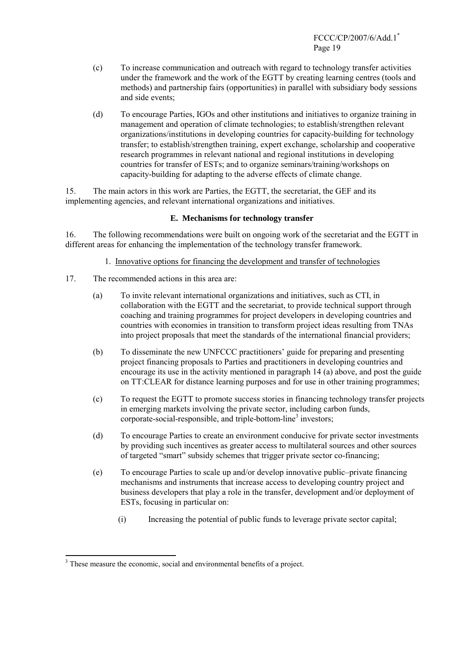- (c) To increase communication and outreach with regard to technology transfer activities under the framework and the work of the EGTT by creating learning centres (tools and methods) and partnership fairs (opportunities) in parallel with subsidiary body sessions and side events;
- (d) To encourage Parties, IGOs and other institutions and initiatives to organize training in management and operation of climate technologies; to establish/strengthen relevant organizations/institutions in developing countries for capacity-building for technology transfer; to establish/strengthen training, expert exchange, scholarship and cooperative research programmes in relevant national and regional institutions in developing countries for transfer of ESTs; and to organize seminars/training/workshops on capacity-building for adapting to the adverse effects of climate change.

15. The main actors in this work are Parties, the EGTT, the secretariat, the GEF and its implementing agencies, and relevant international organizations and initiatives.

### **E. Mechanisms for technology transfer**

16. The following recommendations were built on ongoing work of the secretariat and the EGTT in different areas for enhancing the implementation of the technology transfer framework.

- 1. Innovative options for financing the development and transfer of technologies
- 17. The recommended actions in this area are:
	- (a) To invite relevant international organizations and initiatives, such as CTI, in collaboration with the EGTT and the secretariat, to provide technical support through coaching and training programmes for project developers in developing countries and countries with economies in transition to transform project ideas resulting from TNAs into project proposals that meet the standards of the international financial providers;
	- (b) To disseminate the new UNFCCC practitioners' guide for preparing and presenting project financing proposals to Parties and practitioners in developing countries and encourage its use in the activity mentioned in paragraph 14 (a) above, and post the guide on TT:CLEAR for distance learning purposes and for use in other training programmes;
	- (c) To request the EGTT to promote success stories in financing technology transfer projects in emerging markets involving the private sector, including carbon funds, corporate-social-responsible, and triple-bottom-line<sup>3</sup> investors;
	- (d) To encourage Parties to create an environment conducive for private sector investments by providing such incentives as greater access to multilateral sources and other sources of targeted "smart" subsidy schemes that trigger private sector co-financing;
	- (e) To encourage Parties to scale up and/or develop innovative public--private financing mechanisms and instruments that increase access to developing country project and business developers that play a role in the transfer, development and/or deployment of ESTs, focusing in particular on:
		- (i) Increasing the potential of public funds to leverage private sector capital;

 $\overline{a}$ 

<sup>&</sup>lt;sup>3</sup> These measure the economic, social and environmental benefits of a project.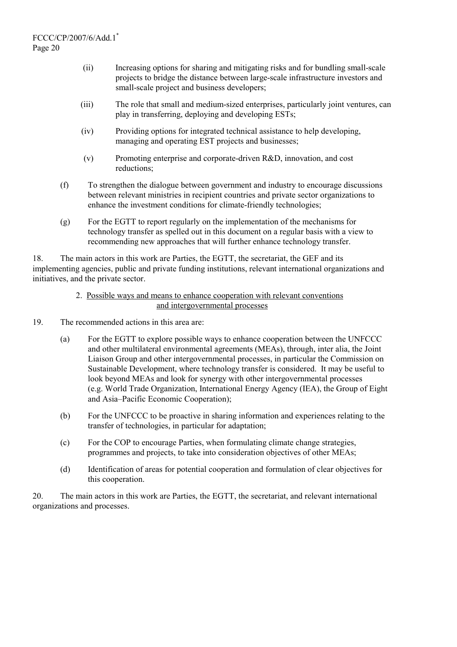- (ii) Increasing options for sharing and mitigating risks and for bundling small-scale projects to bridge the distance between large-scale infrastructure investors and small-scale project and business developers;
- (iii) The role that small and medium-sized enterprises, particularly joint ventures, can play in transferring, deploying and developing ESTs;
- (iv) Providing options for integrated technical assistance to help developing, managing and operating EST projects and businesses;
- (v) Promoting enterprise and corporate-driven R&D, innovation, and cost reductions;
- (f) To strengthen the dialogue between government and industry to encourage discussions between relevant ministries in recipient countries and private sector organizations to enhance the investment conditions for climate-friendly technologies;
- (g) For the EGTT to report regularly on the implementation of the mechanisms for technology transfer as spelled out in this document on a regular basis with a view to recommending new approaches that will further enhance technology transfer.

18. The main actors in this work are Parties, the EGTT, the secretariat, the GEF and its implementing agencies, public and private funding institutions, relevant international organizations and initiatives, and the private sector.

### 2. Possible ways and means to enhance cooperation with relevant conventions and intergovernmental processes

- 19. The recommended actions in this area are:
	- (a) For the EGTT to explore possible ways to enhance cooperation between the UNFCCC and other multilateral environmental agreements (MEAs), through, inter alia, the Joint Liaison Group and other intergovernmental processes, in particular the Commission on Sustainable Development, where technology transfer is considered. It may be useful to look beyond MEAs and look for synergy with other intergovernmental processes (e.g. World Trade Organization, International Energy Agency (IEA), the Group of Eight and Asia-Pacific Economic Cooperation);
	- (b) For the UNFCCC to be proactive in sharing information and experiences relating to the transfer of technologies, in particular for adaptation;
	- (c) For the COP to encourage Parties, when formulating climate change strategies, programmes and projects, to take into consideration objectives of other MEAs;
	- (d) Identification of areas for potential cooperation and formulation of clear objectives for this cooperation.

20. The main actors in this work are Parties, the EGTT, the secretariat, and relevant international organizations and processes.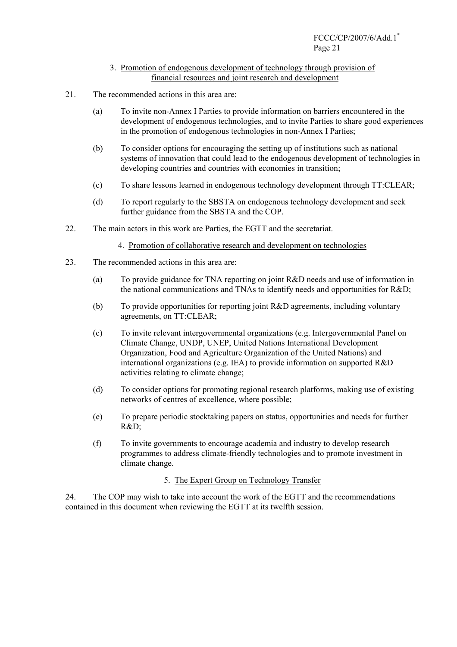### 3. Promotion of endogenous development of technology through provision of financial resources and joint research and development

- 21. The recommended actions in this area are:
	- (a) To invite non-Annex I Parties to provide information on barriers encountered in the development of endogenous technologies, and to invite Parties to share good experiences in the promotion of endogenous technologies in non-Annex I Parties;
	- (b) To consider options for encouraging the setting up of institutions such as national systems of innovation that could lead to the endogenous development of technologies in developing countries and countries with economies in transition;
	- (c) To share lessons learned in endogenous technology development through TT:CLEAR;
	- (d) To report regularly to the SBSTA on endogenous technology development and seek further guidance from the SBSTA and the COP.
- 22. The main actors in this work are Parties, the EGTT and the secretariat.
	- 4. Promotion of collaborative research and development on technologies
- 23. The recommended actions in this area are:
	- (a) To provide guidance for TNA reporting on joint R&D needs and use of information in the national communications and TNAs to identify needs and opportunities for R&D;
	- (b) To provide opportunities for reporting joint R&D agreements, including voluntary agreements, on TT:CLEAR;
	- (c) To invite relevant intergovernmental organizations (e.g. Intergovernmental Panel on Climate Change, UNDP, UNEP, United Nations International Development Organization, Food and Agriculture Organization of the United Nations) and international organizations (e.g. IEA) to provide information on supported R&D activities relating to climate change;
	- (d) To consider options for promoting regional research platforms, making use of existing networks of centres of excellence, where possible;
	- (e) To prepare periodic stocktaking papers on status, opportunities and needs for further R&D;
	- (f) To invite governments to encourage academia and industry to develop research programmes to address climate-friendly technologies and to promote investment in climate change.

#### 5. The Expert Group on Technology Transfer

24. The COP may wish to take into account the work of the EGTT and the recommendations contained in this document when reviewing the EGTT at its twelfth session.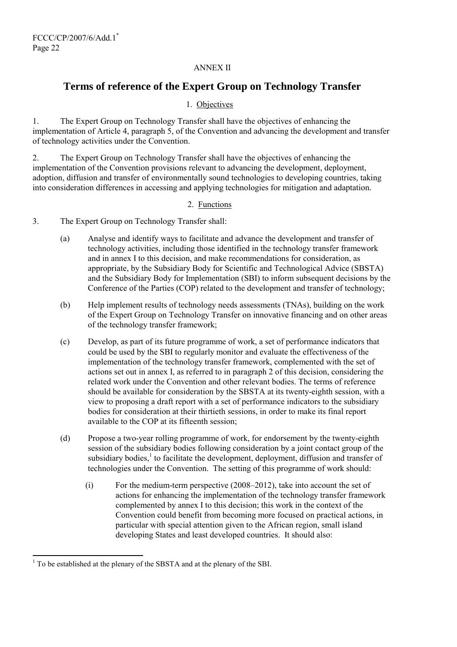### ANNEX II

# **Terms of reference of the Expert Group on Technology Transfer**

### 1. Objectives

1. The Expert Group on Technology Transfer shall have the objectives of enhancing the implementation of Article 4, paragraph 5, of the Convention and advancing the development and transfer of technology activities under the Convention.

2. The Expert Group on Technology Transfer shall have the objectives of enhancing the implementation of the Convention provisions relevant to advancing the development, deployment, adoption, diffusion and transfer of environmentally sound technologies to developing countries, taking into consideration differences in accessing and applying technologies for mitigation and adaptation.

#### 2. Functions

3. The Expert Group on Technology Transfer shall:

- (a) Analyse and identify ways to facilitate and advance the development and transfer of technology activities, including those identified in the technology transfer framework and in annex I to this decision, and make recommendations for consideration, as appropriate, by the Subsidiary Body for Scientific and Technological Advice (SBSTA) and the Subsidiary Body for Implementation (SBI) to inform subsequent decisions by the Conference of the Parties (COP) related to the development and transfer of technology;
- (b) Help implement results of technology needs assessments (TNAs), building on the work of the Expert Group on Technology Transfer on innovative financing and on other areas of the technology transfer framework;
- (c) Develop, as part of its future programme of work, a set of performance indicators that could be used by the SBI to regularly monitor and evaluate the effectiveness of the implementation of the technology transfer framework, complemented with the set of actions set out in annex I, as referred to in paragraph 2 of this decision, considering the related work under the Convention and other relevant bodies. The terms of reference should be available for consideration by the SBSTA at its twenty-eighth session, with a view to proposing a draft report with a set of performance indicators to the subsidiary bodies for consideration at their thirtieth sessions, in order to make its final report available to the COP at its fifteenth session;
- (d) Propose a two-year rolling programme of work, for endorsement by the twenty-eighth session of the subsidiary bodies following consideration by a joint contact group of the subsidiary bodies,<sup>1</sup> to facilitate the development, deployment, diffusion and transfer of technologies under the Convention. The setting of this programme of work should:
	- $(i)$  For the medium-term perspective (2008–2012), take into account the set of actions for enhancing the implementation of the technology transfer framework complemented by annex I to this decision; this work in the context of the Convention could benefit from becoming more focused on practical actions, in particular with special attention given to the African region, small island developing States and least developed countries. It should also:

 $\overline{\phantom{a}}$ 

 $1$ <sup>1</sup> To be established at the plenary of the SBSTA and at the plenary of the SBI.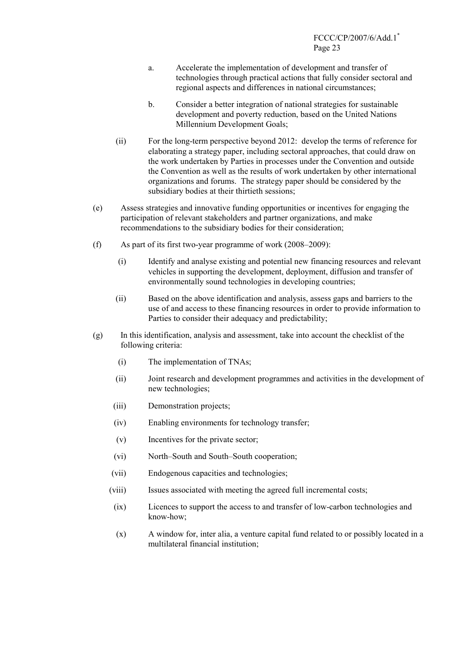- a. Accelerate the implementation of development and transfer of technologies through practical actions that fully consider sectoral and regional aspects and differences in national circumstances;
- b. Consider a better integration of national strategies for sustainable development and poverty reduction, based on the United Nations Millennium Development Goals;
- (ii) For the long-term perspective beyond 2012: develop the terms of reference for elaborating a strategy paper, including sectoral approaches, that could draw on the work undertaken by Parties in processes under the Convention and outside the Convention as well as the results of work undertaken by other international organizations and forums. The strategy paper should be considered by the subsidiary bodies at their thirtieth sessions;
- (e) Assess strategies and innovative funding opportunities or incentives for engaging the participation of relevant stakeholders and partner organizations, and make recommendations to the subsidiary bodies for their consideration;
- (f) As part of its first two-year programme of work  $(2008–2009)$ :
	- (i) Identify and analyse existing and potential new financing resources and relevant vehicles in supporting the development, deployment, diffusion and transfer of environmentally sound technologies in developing countries;
	- (ii) Based on the above identification and analysis, assess gaps and barriers to the use of and access to these financing resources in order to provide information to Parties to consider their adequacy and predictability;
- (g) In this identification, analysis and assessment, take into account the checklist of the following criteria:
	- (i) The implementation of TNAs;
	- (ii) Joint research and development programmes and activities in the development of new technologies;
	- (iii) Demonstration projects;
	- (iv) Enabling environments for technology transfer;
	- (v) Incentives for the private sector;
	- (vi) North–South and South–South cooperation;
	- (vii) Endogenous capacities and technologies;
	- (viii) Issues associated with meeting the agreed full incremental costs;
	- (ix) Licences to support the access to and transfer of low-carbon technologies and know-how;
	- (x) A window for, inter alia, a venture capital fund related to or possibly located in a multilateral financial institution;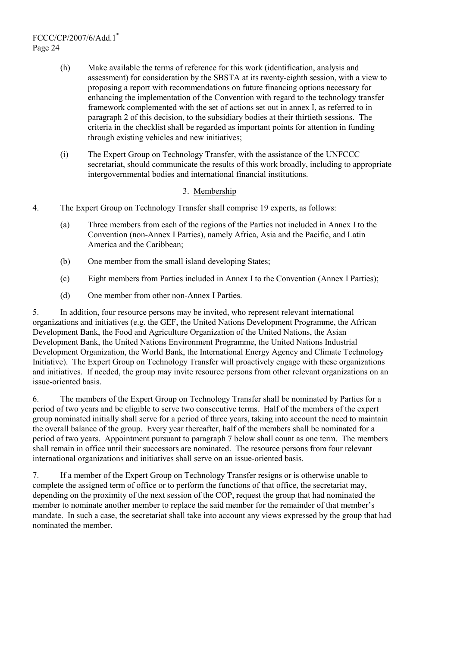- (h) Make available the terms of reference for this work (identification, analysis and assessment) for consideration by the SBSTA at its twenty-eighth session, with a view to proposing a report with recommendations on future financing options necessary for enhancing the implementation of the Convention with regard to the technology transfer framework complemented with the set of actions set out in annex I, as referred to in paragraph 2 of this decision, to the subsidiary bodies at their thirtieth sessions. The criteria in the checklist shall be regarded as important points for attention in funding through existing vehicles and new initiatives;
- (i) The Expert Group on Technology Transfer, with the assistance of the UNFCCC secretariat, should communicate the results of this work broadly, including to appropriate intergovernmental bodies and international financial institutions.

### 3. Membership

- 4. The Expert Group on Technology Transfer shall comprise 19 experts, as follows:
	- (a) Three members from each of the regions of the Parties not included in Annex I to the Convention (non-Annex I Parties), namely Africa, Asia and the Pacific, and Latin America and the Caribbean;
	- (b) One member from the small island developing States;
	- (c) Eight members from Parties included in Annex I to the Convention (Annex I Parties);
	- (d) One member from other non-Annex I Parties.

5. In addition, four resource persons may be invited, who represent relevant international organizations and initiatives (e.g. the GEF, the United Nations Development Programme, the African Development Bank, the Food and Agriculture Organization of the United Nations, the Asian Development Bank, the United Nations Environment Programme, the United Nations Industrial Development Organization, the World Bank, the International Energy Agency and Climate Technology Initiative). The Expert Group on Technology Transfer will proactively engage with these organizations and initiatives. If needed, the group may invite resource persons from other relevant organizations on an issue-oriented basis.

6. The members of the Expert Group on Technology Transfer shall be nominated by Parties for a period of two years and be eligible to serve two consecutive terms. Half of the members of the expert group nominated initially shall serve for a period of three years, taking into account the need to maintain the overall balance of the group. Every year thereafter, half of the members shall be nominated for a period of two years. Appointment pursuant to paragraph 7 below shall count as one term. The members shall remain in office until their successors are nominated. The resource persons from four relevant international organizations and initiatives shall serve on an issue-oriented basis.

7. If a member of the Expert Group on Technology Transfer resigns or is otherwise unable to complete the assigned term of office or to perform the functions of that office, the secretariat may, depending on the proximity of the next session of the COP, request the group that had nominated the member to nominate another member to replace the said member for the remainder of that member's mandate. In such a case, the secretariat shall take into account any views expressed by the group that had nominated the member.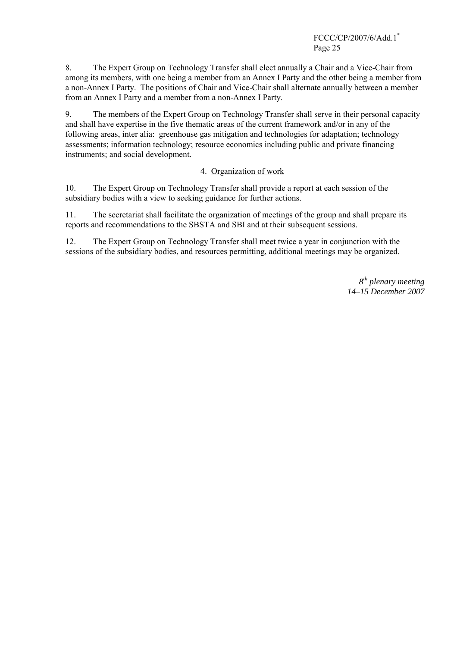8. The Expert Group on Technology Transfer shall elect annually a Chair and a Vice-Chair from among its members, with one being a member from an Annex I Party and the other being a member from a non-Annex I Party. The positions of Chair and Vice-Chair shall alternate annually between a member from an Annex I Party and a member from a non-Annex I Party.

9. The members of the Expert Group on Technology Transfer shall serve in their personal capacity and shall have expertise in the five thematic areas of the current framework and/or in any of the following areas, inter alia: greenhouse gas mitigation and technologies for adaptation; technology assessments; information technology; resource economics including public and private financing instruments; and social development.

### 4. Organization of work

10. The Expert Group on Technology Transfer shall provide a report at each session of the subsidiary bodies with a view to seeking guidance for further actions.

11. The secretariat shall facilitate the organization of meetings of the group and shall prepare its reports and recommendations to the SBSTA and SBI and at their subsequent sessions.

12. The Expert Group on Technology Transfer shall meet twice a year in conjunction with the sessions of the subsidiary bodies, and resources permitting, additional meetings may be organized.

> *8th plenary meeting 14–15 December 2007*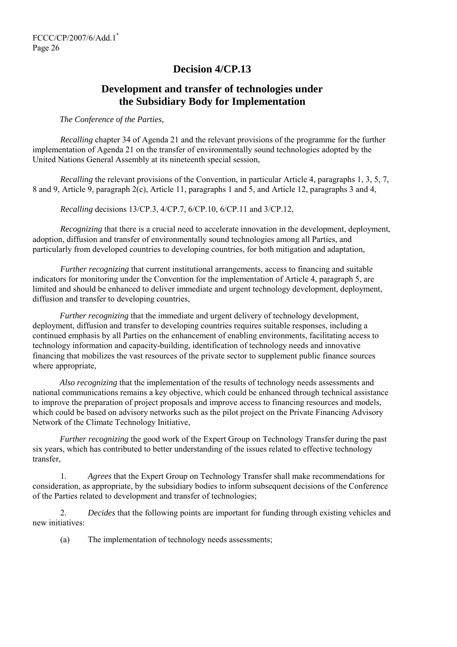# **Decision 4/CP.13**

# **Development and transfer of technologies under the Subsidiary Body for Implementation**

### *The Conference of the Parties,*

*Recalling* chapter 34 of Agenda 21 and the relevant provisions of the programme for the further implementation of Agenda 21 on the transfer of environmentally sound technologies adopted by the United Nations General Assembly at its nineteenth special session,

*Recalling* the relevant provisions of the Convention, in particular Article 4, paragraphs 1, 3, 5, 7, 8 and 9, Article 9, paragraph 2(c), Article 11, paragraphs 1 and 5, and Article 12, paragraphs 3 and 4,

*Recalling* decisions 13/CP.3, 4/CP.7, 6/CP.10, 6/CP.11 and 3/CP.12,

*Recognizing* that there is a crucial need to accelerate innovation in the development, deployment, adoption, diffusion and transfer of environmentally sound technologies among all Parties, and particularly from developed countries to developing countries, for both mitigation and adaptation,

 *Further recognizing* that current institutional arrangements, access to financing and suitable indicators for monitoring under the Convention for the implementation of Article 4, paragraph 5, are limited and should be enhanced to deliver immediate and urgent technology development, deployment, diffusion and transfer to developing countries,

*Further recognizing* that the immediate and urgent delivery of technology development, deployment, diffusion and transfer to developing countries requires suitable responses, including a continued emphasis by all Parties on the enhancement of enabling environments, facilitating access to technology information and capacity-building, identification of technology needs and innovative financing that mobilizes the vast resources of the private sector to supplement public finance sources where appropriate,

*Also recognizing* that the implementation of the results of technology needs assessments and national communications remains a key objective, which could be enhanced through technical assistance to improve the preparation of project proposals and improve access to financing resources and models, which could be based on advisory networks such as the pilot project on the Private Financing Advisory Network of the Climate Technology Initiative,

*Further recognizing* the good work of the Expert Group on Technology Transfer during the past six years, which has contributed to better understanding of the issues related to effective technology transfer,

1. *Agrees* that the Expert Group on Technology Transfer shall make recommendations for consideration, as appropriate, by the subsidiary bodies to inform subsequent decisions of the Conference of the Parties related to development and transfer of technologies;

2. *Decides* that the following points are important for funding through existing vehicles and new initiatives:

(a) The implementation of technology needs assessments;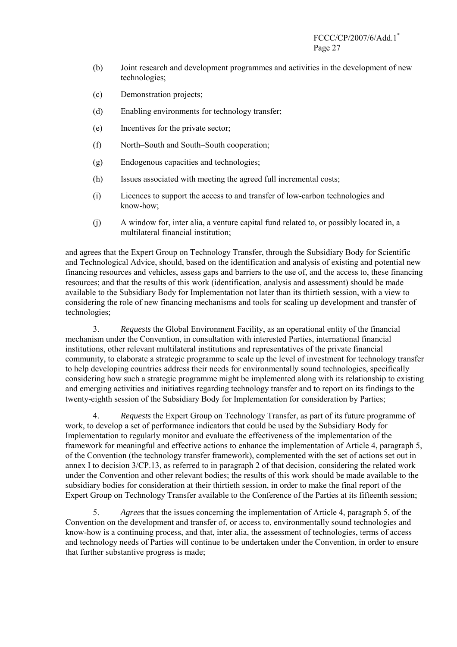- (b) Joint research and development programmes and activities in the development of new technologies;
- (c) Demonstration projects;
- (d) Enabling environments for technology transfer;
- (e) Incentives for the private sector;
- $(f)$  North–South and South–South cooperation;
- (g) Endogenous capacities and technologies;
- (h) Issues associated with meeting the agreed full incremental costs;
- (i) Licences to support the access to and transfer of low-carbon technologies and know-how;
- (j) A window for, inter alia, a venture capital fund related to, or possibly located in, a multilateral financial institution;

and agrees that the Expert Group on Technology Transfer, through the Subsidiary Body for Scientific and Technological Advice, should, based on the identification and analysis of existing and potential new financing resources and vehicles, assess gaps and barriers to the use of, and the access to, these financing resources; and that the results of this work (identification, analysis and assessment) should be made available to the Subsidiary Body for Implementation not later than its thirtieth session, with a view to considering the role of new financing mechanisms and tools for scaling up development and transfer of technologies;

3. *Requests* the Global Environment Facility, as an operational entity of the financial mechanism under the Convention, in consultation with interested Parties, international financial institutions, other relevant multilateral institutions and representatives of the private financial community, to elaborate a strategic programme to scale up the level of investment for technology transfer to help developing countries address their needs for environmentally sound technologies, specifically considering how such a strategic programme might be implemented along with its relationship to existing and emerging activities and initiatives regarding technology transfer and to report on its findings to the twenty-eighth session of the Subsidiary Body for Implementation for consideration by Parties;

4. *Requests* the Expert Group on Technology Transfer, as part of its future programme of work, to develop a set of performance indicators that could be used by the Subsidiary Body for Implementation to regularly monitor and evaluate the effectiveness of the implementation of the framework for meaningful and effective actions to enhance the implementation of Article 4, paragraph 5, of the Convention (the technology transfer framework), complemented with the set of actions set out in annex I to decision 3/CP.13, as referred to in paragraph 2 of that decision, considering the related work under the Convention and other relevant bodies; the results of this work should be made available to the subsidiary bodies for consideration at their thirtieth session, in order to make the final report of the Expert Group on Technology Transfer available to the Conference of the Parties at its fifteenth session;

5. *Agrees* that the issues concerning the implementation of Article 4, paragraph 5, of the Convention on the development and transfer of, or access to, environmentally sound technologies and know-how is a continuing process, and that, inter alia, the assessment of technologies, terms of access and technology needs of Parties will continue to be undertaken under the Convention, in order to ensure that further substantive progress is made;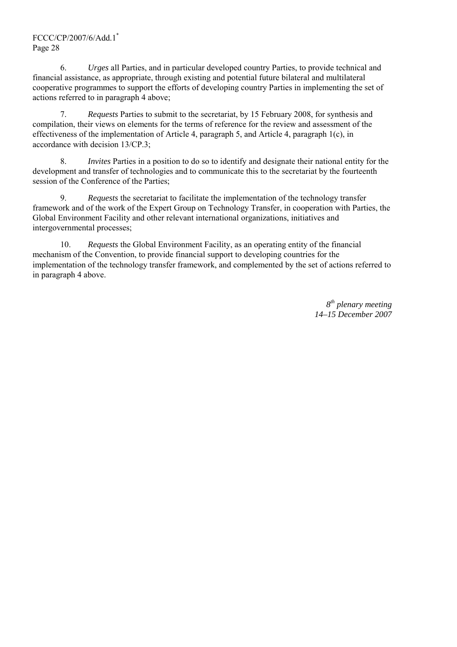6. *Urges* all Parties, and in particular developed country Parties, to provide technical and financial assistance, as appropriate, through existing and potential future bilateral and multilateral cooperative programmes to support the efforts of developing country Parties in implementing the set of actions referred to in paragraph 4 above;

7. *Requests* Parties to submit to the secretariat, by 15 February 2008, for synthesis and compilation, their views on elements for the terms of reference for the review and assessment of the effectiveness of the implementation of Article 4, paragraph 5, and Article 4, paragraph 1(c), in accordance with decision 13/CP.3;

8. *Invites* Parties in a position to do so to identify and designate their national entity for the development and transfer of technologies and to communicate this to the secretariat by the fourteenth session of the Conference of the Parties;

9. *Requests* the secretariat to facilitate the implementation of the technology transfer framework and of the work of the Expert Group on Technology Transfer, in cooperation with Parties, the Global Environment Facility and other relevant international organizations, initiatives and intergovernmental processes;

10. *Requests* the Global Environment Facility, as an operating entity of the financial mechanism of the Convention, to provide financial support to developing countries for the implementation of the technology transfer framework, and complemented by the set of actions referred to in paragraph 4 above.

> *8th plenary meeting 14–15 December 2007*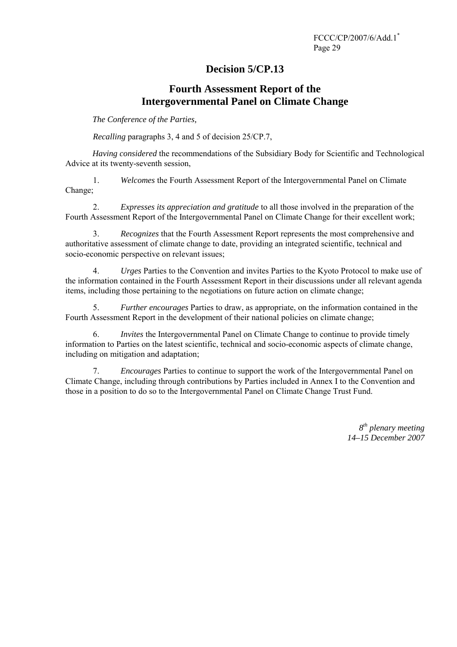# **Decision 5/CP.13**

# **Fourth Assessment Report of the Intergovernmental Panel on Climate Change**

*The Conference of the Parties,* 

*Recalling* paragraphs 3, 4 and 5 of decision 25/CP.7,

*Having considered* the recommendations of the Subsidiary Body for Scientific and Technological Advice at its twenty-seventh session,

1. *Welcomes* the Fourth Assessment Report of the Intergovernmental Panel on Climate Change;

2. *Expresses its appreciation and gratitude* to all those involved in the preparation of the Fourth Assessment Report of the Intergovernmental Panel on Climate Change for their excellent work;

3. *Recognizes* that the Fourth Assessment Report represents the most comprehensive and authoritative assessment of climate change to date, providing an integrated scientific, technical and socio-economic perspective on relevant issues;

4. *Urges* Parties to the Convention and invites Parties to the Kyoto Protocol to make use of the information contained in the Fourth Assessment Report in their discussions under all relevant agenda items, including those pertaining to the negotiations on future action on climate change;

5. *Further encourages* Parties to draw, as appropriate, on the information contained in the Fourth Assessment Report in the development of their national policies on climate change;

6. *Invites* the Intergovernmental Panel on Climate Change to continue to provide timely information to Parties on the latest scientific, technical and socio-economic aspects of climate change, including on mitigation and adaptation;

7. *Encourages* Parties to continue to support the work of the Intergovernmental Panel on Climate Change, including through contributions by Parties included in Annex I to the Convention and those in a position to do so to the Intergovernmental Panel on Climate Change Trust Fund.

> *8th plenary meeting 14–15 December 2007*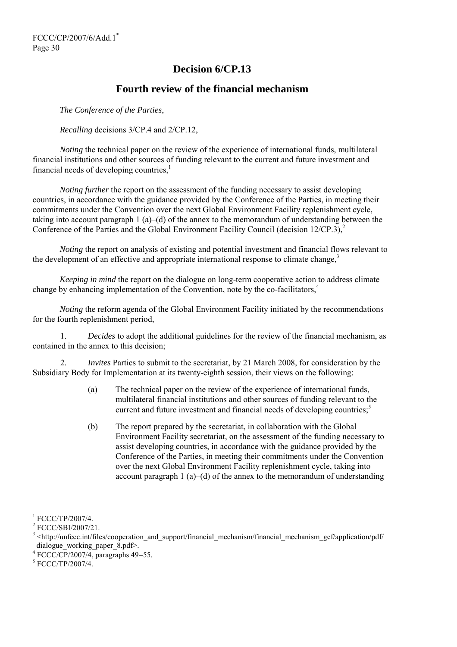# **Decision 6/CP.13**

# **Fourth review of the financial mechanism**

*The Conference of the Parties*,

*Recalling* decisions 3/CP.4 and 2/CP.12,

*Noting* the technical paper on the review of the experience of international funds, multilateral financial institutions and other sources of funding relevant to the current and future investment and financial needs of developing countries, $\frac{1}{2}$ 

*Noting further* the report on the assessment of the funding necessary to assist developing countries, in accordance with the guidance provided by the Conference of the Parties, in meeting their commitments under the Convention over the next Global Environment Facility replenishment cycle, taking into account paragraph 1 (a)–(d) of the annex to the memorandum of understanding between the Conference of the Parties and the Global Environment Facility Council (decision  $12/CP.3$ ),<sup>2</sup>

*Noting* the report on analysis of existing and potential investment and financial flows relevant to the development of an effective and appropriate international response to climate change.<sup>3</sup>

*Keeping in mind* the report on the dialogue on long-term cooperative action to address climate change by enhancing implementation of the Convention, note by the co-facilitators,<sup>4</sup>

*Noting* the reform agenda of the Global Environment Facility initiated by the recommendations for the fourth replenishment period,

1. *Decides* to adopt the additional guidelines for the review of the financial mechanism, as contained in the annex to this decision;

2. *Invites* Parties to submit to the secretariat, by 21 March 2008, for consideration by the Subsidiary Body for Implementation at its twenty-eighth session, their views on the following:

- (a) The technical paper on the review of the experience of international funds, multilateral financial institutions and other sources of funding relevant to the current and future investment and financial needs of developing countries;<sup>5</sup>
- (b) The report prepared by the secretariat, in collaboration with the Global Environment Facility secretariat, on the assessment of the funding necessary to assist developing countries, in accordance with the guidance provided by the Conference of the Parties, in meeting their commitments under the Convention over the next Global Environment Facility replenishment cycle, taking into account paragraph 1 (a) $-(d)$  of the annex to the memorandum of understanding

l <sup>1</sup> FCCC/TP/2007/4.

<sup>&</sup>lt;sup>2</sup> FCCC/SBI/2007/21.

 $3$  <http://unfccc.int/files/cooperation\_and\_support/financial\_mechanism/financial\_mechanism\_gef/application/pdf/ dialogue working paper 8.pdf>.

 $^{4}$  FCCC/CP/2007/4, paragraphs 49–55.

 $5$  FCCC/TP/2007/4.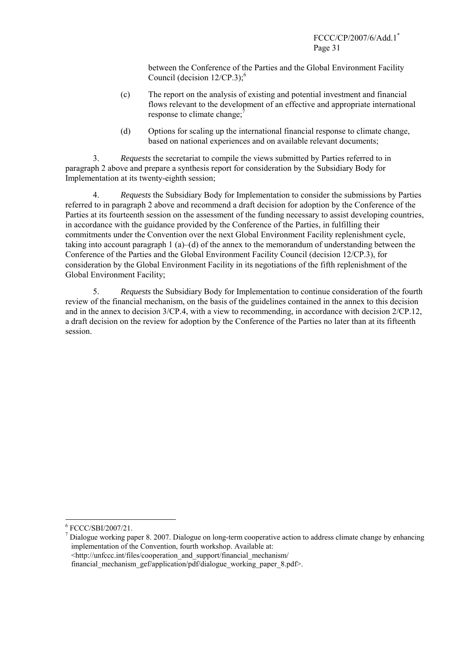between the Conference of the Parties and the Global Environment Facility Council (decision  $12/CP.3$ );<sup>6</sup>

- (c) The report on the analysis of existing and potential investment and financial flows relevant to the development of an effective and appropriate international response to climate change: $\bar{7}$
- (d) Options for scaling up the international financial response to climate change, based on national experiences and on available relevant documents;

3. *Requests* the secretariat to compile the views submitted by Parties referred to in paragraph 2 above and prepare a synthesis report for consideration by the Subsidiary Body for Implementation at its twenty-eighth session;

4. *Requests* the Subsidiary Body for Implementation to consider the submissions by Parties referred to in paragraph 2 above and recommend a draft decision for adoption by the Conference of the Parties at its fourteenth session on the assessment of the funding necessary to assist developing countries, in accordance with the guidance provided by the Conference of the Parties, in fulfilling their commitments under the Convention over the next Global Environment Facility replenishment cycle, taking into account paragraph 1 (a)–(d) of the annex to the memorandum of understanding between the Conference of the Parties and the Global Environment Facility Council (decision 12/CP.3), for consideration by the Global Environment Facility in its negotiations of the fifth replenishment of the Global Environment Facility;

5. *Requests* the Subsidiary Body for Implementation to continue consideration of the fourth review of the financial mechanism, on the basis of the guidelines contained in the annex to this decision and in the annex to decision 3/CP.4, with a view to recommending, in accordance with decision 2/CP.12, a draft decision on the review for adoption by the Conference of the Parties no later than at its fifteenth session.

 $^6$  FCCC/SBI/2007/21.

 $<sup>7</sup>$  Dialogue working paper 8. 2007. Dialogue on long-term cooperative action to address climate change by enhancing</sup> implementation of the Convention, fourth workshop. Available at: <http://unfccc.int/files/cooperation\_and\_support/financial\_mechanism/

financial\_mechanism\_gef/application/pdf/dialogue\_working\_paper\_8.pdf>.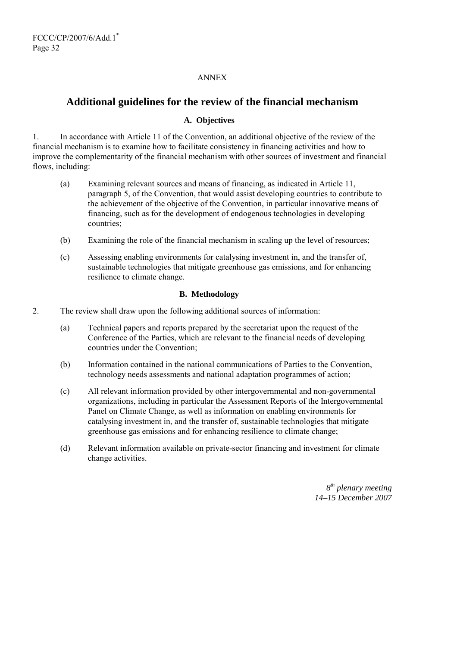### ANNEX

# **Additional guidelines for the review of the financial mechanism**

#### **A. Objectives**

1. In accordance with Article 11 of the Convention, an additional objective of the review of the financial mechanism is to examine how to facilitate consistency in financing activities and how to improve the complementarity of the financial mechanism with other sources of investment and financial flows, including:

- (a) Examining relevant sources and means of financing, as indicated in Article 11, paragraph 5, of the Convention, that would assist developing countries to contribute to the achievement of the objective of the Convention, in particular innovative means of financing, such as for the development of endogenous technologies in developing countries;
- (b) Examining the role of the financial mechanism in scaling up the level of resources;
- (c) Assessing enabling environments for catalysing investment in, and the transfer of, sustainable technologies that mitigate greenhouse gas emissions, and for enhancing resilience to climate change.

### **B. Methodology**

- 2. The review shall draw upon the following additional sources of information:
	- (a) Technical papers and reports prepared by the secretariat upon the request of the Conference of the Parties, which are relevant to the financial needs of developing countries under the Convention;
	- (b) Information contained in the national communications of Parties to the Convention, technology needs assessments and national adaptation programmes of action;
	- (c) All relevant information provided by other intergovernmental and non-governmental organizations, including in particular the Assessment Reports of the Intergovernmental Panel on Climate Change, as well as information on enabling environments for catalysing investment in, and the transfer of, sustainable technologies that mitigate greenhouse gas emissions and for enhancing resilience to climate change;
	- (d) Relevant information available on private-sector financing and investment for climate change activities.

*8th plenary meeting 14–15 December 2007*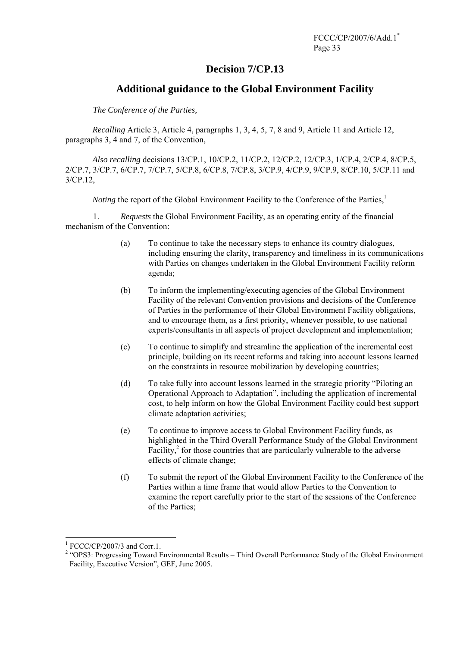# **Decision 7/CP.13**

# **Additional guidance to the Global Environment Facility**

*The Conference of the Parties,* 

*Recalling* Article 3, Article 4, paragraphs 1, 3, 4, 5, 7, 8 and 9, Article 11 and Article 12, paragraphs 3, 4 and 7, of the Convention,

*Also recalling* decisions 13/CP.1, 10/CP.2, 11/CP.2, 12/CP.2, 12/CP.3, 1/CP.4, 2/CP.4, 8/CP.5, 2/CP.7, 3/CP.7, 6/CP.7, 7/CP.7, 5/CP.8, 6/CP.8, 7/CP.8, 3/CP.9, 4/CP.9, 9/CP.9, 8/CP.10, 5/CP.11 and 3/CP.12,

*Noting* the report of the Global Environment Facility to the Conference of the Parties.<sup>1</sup>

1. *Requests* the Global Environment Facility, as an operating entity of the financial mechanism of the Convention:

- (a) To continue to take the necessary steps to enhance its country dialogues, including ensuring the clarity, transparency and timeliness in its communications with Parties on changes undertaken in the Global Environment Facility reform agenda;
- (b) To inform the implementing/executing agencies of the Global Environment Facility of the relevant Convention provisions and decisions of the Conference of Parties in the performance of their Global Environment Facility obligations, and to encourage them, as a first priority, whenever possible, to use national experts/consultants in all aspects of project development and implementation;
- (c) To continue to simplify and streamline the application of the incremental cost principle, building on its recent reforms and taking into account lessons learned on the constraints in resource mobilization by developing countries;
- (d) To take fully into account lessons learned in the strategic priority "Piloting an Operational Approach to Adaptationî, including the application of incremental cost, to help inform on how the Global Environment Facility could best support climate adaptation activities;
- (e) To continue to improve access to Global Environment Facility funds, as highlighted in the Third Overall Performance Study of the Global Environment Facility, $^2$  for those countries that are particularly vulnerable to the adverse effects of climate change;
- (f) To submit the report of the Global Environment Facility to the Conference of the Parties within a time frame that would allow Parties to the Convention to examine the report carefully prior to the start of the sessions of the Conference of the Parties;

 $\overline{a}$ 

 $\frac{1}{1}$  FCCC/CP/2007/3 and Corr 1

<sup>&</sup>lt;sup>1</sup> FCCC/CP/2007/3 and Corr.1.<br><sup>2</sup> "OPS3: Progressing Toward Environmental Results – Third Overall Performance Study of the Global Environment Facility, Executive Version", GEF, June 2005.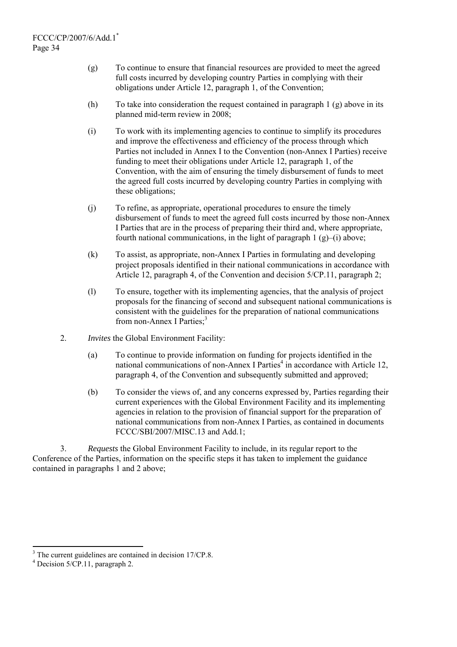- (g) To continue to ensure that financial resources are provided to meet the agreed full costs incurred by developing country Parties in complying with their obligations under Article 12, paragraph 1, of the Convention;
- (h) To take into consideration the request contained in paragraph 1 (g) above in its planned mid-term review in 2008;
- (i) To work with its implementing agencies to continue to simplify its procedures and improve the effectiveness and efficiency of the process through which Parties not included in Annex I to the Convention (non-Annex I Parties) receive funding to meet their obligations under Article 12, paragraph 1, of the Convention, with the aim of ensuring the timely disbursement of funds to meet the agreed full costs incurred by developing country Parties in complying with these obligations;
- (j) To refine, as appropriate, operational procedures to ensure the timely disbursement of funds to meet the agreed full costs incurred by those non-Annex I Parties that are in the process of preparing their third and, where appropriate, fourth national communications, in the light of paragraph  $1(g)$ –(i) above;
- (k) To assist, as appropriate, non-Annex I Parties in formulating and developing project proposals identified in their national communications in accordance with Article 12, paragraph 4, of the Convention and decision 5/CP.11, paragraph 2;
- (l) To ensure, together with its implementing agencies, that the analysis of project proposals for the financing of second and subsequent national communications is consistent with the guidelines for the preparation of national communications from non-Annex I Parties;<sup>3</sup>
- 2. *Invites* the Global Environment Facility:
	- (a) To continue to provide information on funding for projects identified in the national communications of non-Annex I Parties<sup>4</sup> in accordance with Article 12, paragraph 4, of the Convention and subsequently submitted and approved:
	- (b) To consider the views of, and any concerns expressed by, Parties regarding their current experiences with the Global Environment Facility and its implementing agencies in relation to the provision of financial support for the preparation of national communications from non-Annex I Parties, as contained in documents FCCC/SBI/2007/MISC.13 and Add.1;

3. *Requests* the Global Environment Facility to include, in its regular report to the Conference of the Parties, information on the specific steps it has taken to implement the guidance contained in paragraphs 1 and 2 above;

<sup>&</sup>lt;sup>3</sup> The current guidelines are contained in decision 17/CP.8.

<sup>4</sup> Decision 5/CP.11, paragraph 2.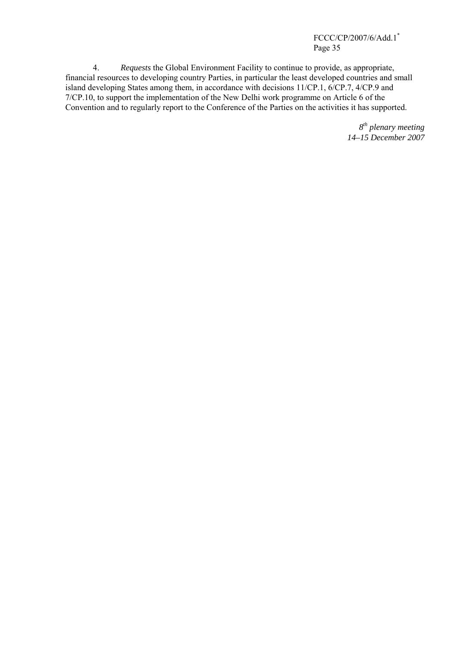4. *Requests* the Global Environment Facility to continue to provide, as appropriate, financial resources to developing country Parties, in particular the least developed countries and small island developing States among them, in accordance with decisions 11/CP.1, 6/CP.7, 4/CP.9 and 7/CP.10, to support the implementation of the New Delhi work programme on Article 6 of the Convention and to regularly report to the Conference of the Parties on the activities it has supported.

> *8th plenary meeting 14–15 December 2007*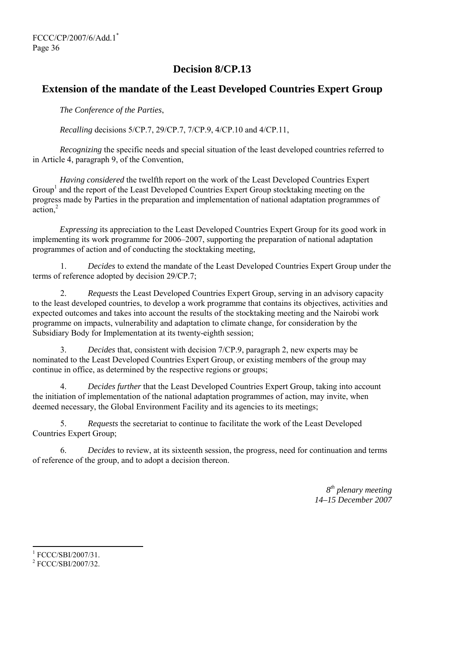# **Decision 8/CP.13**

# **Extension of the mandate of the Least Developed Countries Expert Group**

*The Conference of the Parties*,

*Recalling* decisions 5/CP.7, 29/CP.7, 7/CP.9, 4/CP.10 and 4/CP.11,

*Recognizing* the specific needs and special situation of the least developed countries referred to in Article 4, paragraph 9, of the Convention,

*Having considered* the twelfth report on the work of the Least Developed Countries Expert Group<sup>1</sup> and the report of the Least Developed Countries Expert Group stocktaking meeting on the progress made by Parties in the preparation and implementation of national adaptation programmes of action,<sup>2</sup>

*Expressing* its appreciation to the Least Developed Countries Expert Group for its good work in implementing its work programme for  $2006-2007$ , supporting the preparation of national adaptation programmes of action and of conducting the stocktaking meeting,

1. *Decides* to extend the mandate of the Least Developed Countries Expert Group under the terms of reference adopted by decision 29/CP.7;

2. *Requests* the Least Developed Countries Expert Group, serving in an advisory capacity to the least developed countries, to develop a work programme that contains its objectives, activities and expected outcomes and takes into account the results of the stocktaking meeting and the Nairobi work programme on impacts, vulnerability and adaptation to climate change, for consideration by the Subsidiary Body for Implementation at its twenty-eighth session;

3. *Decides* that, consistent with decision 7/CP.9, paragraph 2, new experts may be nominated to the Least Developed Countries Expert Group, or existing members of the group may continue in office, as determined by the respective regions or groups;

4. *Decides further* that the Least Developed Countries Expert Group, taking into account the initiation of implementation of the national adaptation programmes of action, may invite, when deemed necessary, the Global Environment Facility and its agencies to its meetings;

5. *Requests* the secretariat to continue to facilitate the work of the Least Developed Countries Expert Group;

6. *Decides* to review, at its sixteenth session, the progress, need for continuation and terms of reference of the group, and to adopt a decision thereon.

> *8th plenary meeting 14–15 December 2007*

l

 $^{1}$  FCCC/SBI/2007/31.

<sup>&</sup>lt;sup>2</sup> FCCC/SBI/2007/32.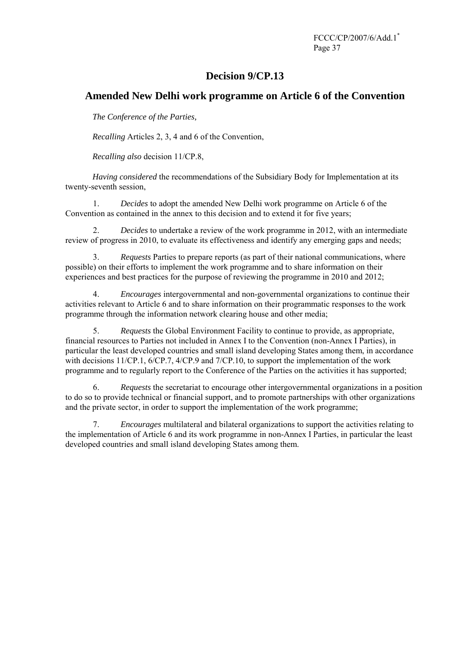# **Decision 9/CP.13**

# **Amended New Delhi work programme on Article 6 of the Convention**

*The Conference of the Parties,* 

*Recalling* Articles 2, 3, 4 and 6 of the Convention,

*Recalling also* decision 11/CP.8,

*Having considered* the recommendations of the Subsidiary Body for Implementation at its twenty-seventh session,

1. *Decides* to adopt the amended New Delhi work programme on Article 6 of the Convention as contained in the annex to this decision and to extend it for five years;

2. *Decides* to undertake a review of the work programme in 2012, with an intermediate review of progress in 2010, to evaluate its effectiveness and identify any emerging gaps and needs;

3. *Requests* Parties to prepare reports (as part of their national communications, where possible) on their efforts to implement the work programme and to share information on their experiences and best practices for the purpose of reviewing the programme in 2010 and 2012;

4. *Encourages* intergovernmental and non-governmental organizations to continue their activities relevant to Article 6 and to share information on their programmatic responses to the work programme through the information network clearing house and other media;

5. *Requests* the Global Environment Facility to continue to provide, as appropriate, financial resources to Parties not included in Annex I to the Convention (non-Annex I Parties), in particular the least developed countries and small island developing States among them, in accordance with decisions 11/CP.1, 6/CP.7, 4/CP.9 and 7/CP.10, to support the implementation of the work programme and to regularly report to the Conference of the Parties on the activities it has supported;

6. *Requests* the secretariat to encourage other intergovernmental organizations in a position to do so to provide technical or financial support, and to promote partnerships with other organizations and the private sector, in order to support the implementation of the work programme;

7. *Encourages* multilateral and bilateral organizations to support the activities relating to the implementation of Article 6 and its work programme in non-Annex I Parties, in particular the least developed countries and small island developing States among them.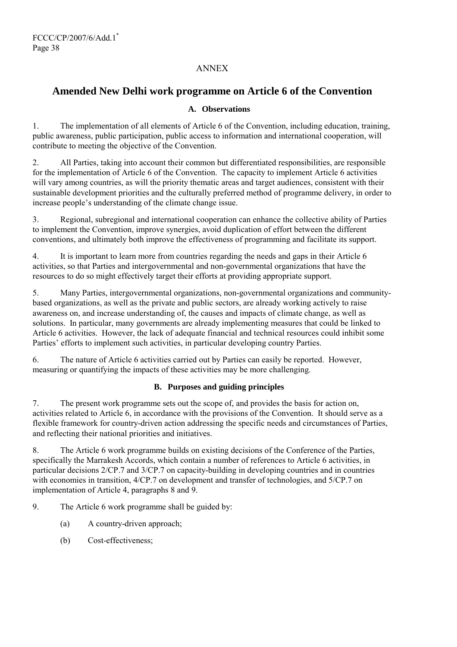# ANNEX

# **Amended New Delhi work programme on Article 6 of the Convention**

### **A. Observations**

1. The implementation of all elements of Article 6 of the Convention, including education, training, public awareness, public participation, public access to information and international cooperation, will contribute to meeting the objective of the Convention.

2. All Parties, taking into account their common but differentiated responsibilities, are responsible for the implementation of Article 6 of the Convention. The capacity to implement Article 6 activities will vary among countries, as will the priority thematic areas and target audiences, consistent with their sustainable development priorities and the culturally preferred method of programme delivery, in order to increase people's understanding of the climate change issue.

3. Regional, subregional and international cooperation can enhance the collective ability of Parties to implement the Convention, improve synergies, avoid duplication of effort between the different conventions, and ultimately both improve the effectiveness of programming and facilitate its support.

4. It is important to learn more from countries regarding the needs and gaps in their Article 6 activities, so that Parties and intergovernmental and non-governmental organizations that have the resources to do so might effectively target their efforts at providing appropriate support.

5. Many Parties, intergovernmental organizations, non-governmental organizations and communitybased organizations, as well as the private and public sectors, are already working actively to raise awareness on, and increase understanding of, the causes and impacts of climate change, as well as solutions. In particular, many governments are already implementing measures that could be linked to Article 6 activities. However, the lack of adequate financial and technical resources could inhibit some Parties' efforts to implement such activities, in particular developing country Parties.

6. The nature of Article 6 activities carried out by Parties can easily be reported. However, measuring or quantifying the impacts of these activities may be more challenging.

### **B. Purposes and guiding principles**

7. The present work programme sets out the scope of, and provides the basis for action on, activities related to Article 6, in accordance with the provisions of the Convention. It should serve as a flexible framework for country-driven action addressing the specific needs and circumstances of Parties, and reflecting their national priorities and initiatives.

8. The Article 6 work programme builds on existing decisions of the Conference of the Parties, specifically the Marrakesh Accords, which contain a number of references to Article 6 activities, in particular decisions 2/CP.7 and 3/CP.7 on capacity-building in developing countries and in countries with economies in transition, 4/CP.7 on development and transfer of technologies, and 5/CP.7 on implementation of Article 4, paragraphs 8 and 9.

9. The Article 6 work programme shall be guided by:

- (a) A country-driven approach;
- (b) Cost-effectiveness;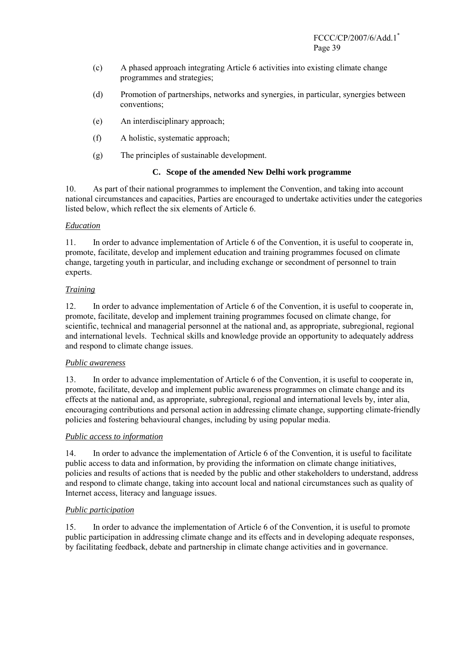- (c) A phased approach integrating Article 6 activities into existing climate change programmes and strategies;
- (d) Promotion of partnerships, networks and synergies, in particular, synergies between conventions;
- (e) An interdisciplinary approach;
- (f) A holistic, systematic approach;
- (g) The principles of sustainable development.

### **C. Scope of the amended New Delhi work programme**

10. As part of their national programmes to implement the Convention, and taking into account national circumstances and capacities, Parties are encouraged to undertake activities under the categories listed below, which reflect the six elements of Article 6.

### *Education*

11. In order to advance implementation of Article 6 of the Convention, it is useful to cooperate in, promote, facilitate, develop and implement education and training programmes focused on climate change, targeting youth in particular, and including exchange or secondment of personnel to train experts.

### *Training*

12. In order to advance implementation of Article 6 of the Convention, it is useful to cooperate in, promote, facilitate, develop and implement training programmes focused on climate change, for scientific, technical and managerial personnel at the national and, as appropriate, subregional, regional and international levels. Technical skills and knowledge provide an opportunity to adequately address and respond to climate change issues.

### *Public awareness*

13. In order to advance implementation of Article 6 of the Convention, it is useful to cooperate in, promote, facilitate, develop and implement public awareness programmes on climate change and its effects at the national and, as appropriate, subregional, regional and international levels by, inter alia, encouraging contributions and personal action in addressing climate change, supporting climate-friendly policies and fostering behavioural changes, including by using popular media.

### *Public access to information*

14. In order to advance the implementation of Article 6 of the Convention, it is useful to facilitate public access to data and information, by providing the information on climate change initiatives, policies and results of actions that is needed by the public and other stakeholders to understand, address and respond to climate change, taking into account local and national circumstances such as quality of Internet access, literacy and language issues.

### *Public participation*

15. In order to advance the implementation of Article 6 of the Convention, it is useful to promote public participation in addressing climate change and its effects and in developing adequate responses, by facilitating feedback, debate and partnership in climate change activities and in governance.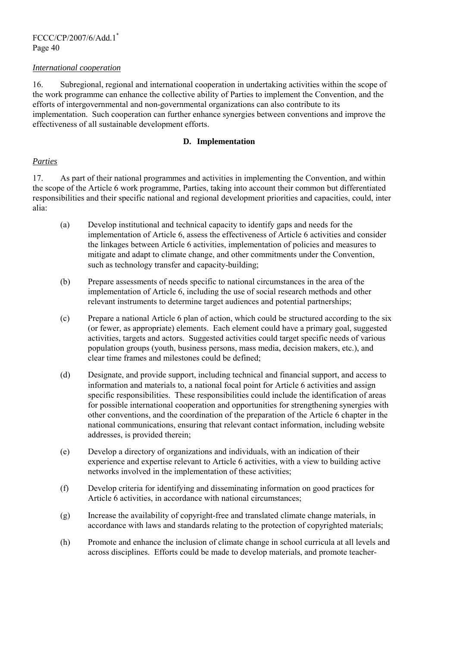### *International cooperation*

16. Subregional, regional and international cooperation in undertaking activities within the scope of the work programme can enhance the collective ability of Parties to implement the Convention, and the efforts of intergovernmental and non-governmental organizations can also contribute to its implementation. Such cooperation can further enhance synergies between conventions and improve the effectiveness of all sustainable development efforts.

### **D. Implementation**

#### *Parties*

17. As part of their national programmes and activities in implementing the Convention, and within the scope of the Article 6 work programme, Parties, taking into account their common but differentiated responsibilities and their specific national and regional development priorities and capacities, could, inter alia:

- (a) Develop institutional and technical capacity to identify gaps and needs for the implementation of Article 6, assess the effectiveness of Article 6 activities and consider the linkages between Article 6 activities, implementation of policies and measures to mitigate and adapt to climate change, and other commitments under the Convention, such as technology transfer and capacity-building;
- (b) Prepare assessments of needs specific to national circumstances in the area of the implementation of Article 6, including the use of social research methods and other relevant instruments to determine target audiences and potential partnerships;
- (c) Prepare a national Article 6 plan of action, which could be structured according to the six (or fewer, as appropriate) elements. Each element could have a primary goal, suggested activities, targets and actors. Suggested activities could target specific needs of various population groups (youth, business persons, mass media, decision makers, etc.), and clear time frames and milestones could be defined;
- (d) Designate, and provide support, including technical and financial support, and access to information and materials to, a national focal point for Article 6 activities and assign specific responsibilities. These responsibilities could include the identification of areas for possible international cooperation and opportunities for strengthening synergies with other conventions, and the coordination of the preparation of the Article 6 chapter in the national communications, ensuring that relevant contact information, including website addresses, is provided therein;
- (e) Develop a directory of organizations and individuals, with an indication of their experience and expertise relevant to Article 6 activities, with a view to building active networks involved in the implementation of these activities;
- (f) Develop criteria for identifying and disseminating information on good practices for Article 6 activities, in accordance with national circumstances;
- (g) Increase the availability of copyright-free and translated climate change materials, in accordance with laws and standards relating to the protection of copyrighted materials;
- (h) Promote and enhance the inclusion of climate change in school curricula at all levels and across disciplines. Efforts could be made to develop materials, and promote teacher-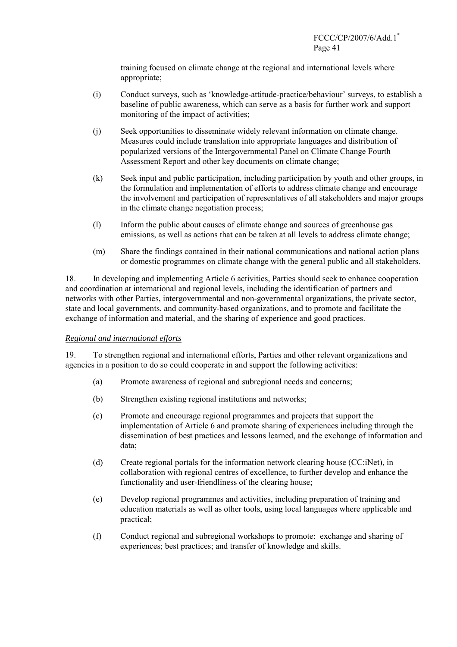training focused on climate change at the regional and international levels where appropriate;

- (i) Conduct surveys, such as ëknowledge-attitude-practice/behaviourí surveys, to establish a baseline of public awareness, which can serve as a basis for further work and support monitoring of the impact of activities;
- (j) Seek opportunities to disseminate widely relevant information on climate change. Measures could include translation into appropriate languages and distribution of popularized versions of the Intergovernmental Panel on Climate Change Fourth Assessment Report and other key documents on climate change;
- (k) Seek input and public participation, including participation by youth and other groups, in the formulation and implementation of efforts to address climate change and encourage the involvement and participation of representatives of all stakeholders and major groups in the climate change negotiation process;
- (l) Inform the public about causes of climate change and sources of greenhouse gas emissions, as well as actions that can be taken at all levels to address climate change;
- (m) Share the findings contained in their national communications and national action plans or domestic programmes on climate change with the general public and all stakeholders.

18. In developing and implementing Article 6 activities, Parties should seek to enhance cooperation and coordination at international and regional levels, including the identification of partners and networks with other Parties, intergovernmental and non-governmental organizations, the private sector, state and local governments, and community-based organizations, and to promote and facilitate the exchange of information and material, and the sharing of experience and good practices.

### *Regional and international efforts*

19. To strengthen regional and international efforts, Parties and other relevant organizations and agencies in a position to do so could cooperate in and support the following activities:

- (a) Promote awareness of regional and subregional needs and concerns;
- (b) Strengthen existing regional institutions and networks;
- (c) Promote and encourage regional programmes and projects that support the implementation of Article 6 and promote sharing of experiences including through the dissemination of best practices and lessons learned, and the exchange of information and data;
- (d) Create regional portals for the information network clearing house (CC:iNet), in collaboration with regional centres of excellence, to further develop and enhance the functionality and user-friendliness of the clearing house;
- (e) Develop regional programmes and activities, including preparation of training and education materials as well as other tools, using local languages where applicable and practical;
- (f) Conduct regional and subregional workshops to promote: exchange and sharing of experiences; best practices; and transfer of knowledge and skills.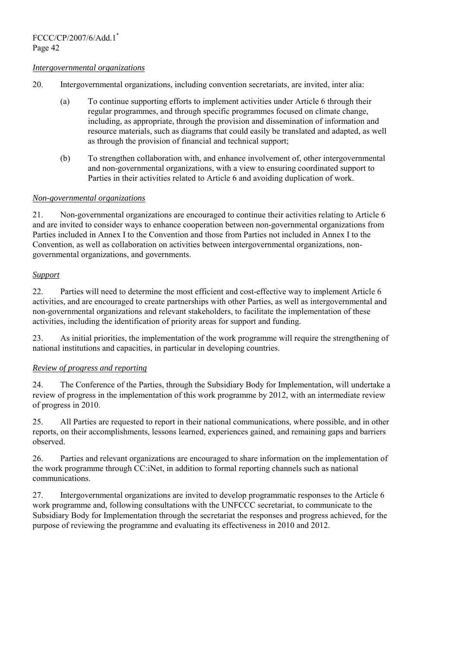#### *Intergovernmental organizations*

- 20. Intergovernmental organizations, including convention secretariats, are invited, inter alia:
	- (a) To continue supporting efforts to implement activities under Article 6 through their regular programmes, and through specific programmes focused on climate change, including, as appropriate, through the provision and dissemination of information and resource materials, such as diagrams that could easily be translated and adapted, as well as through the provision of financial and technical support;
	- (b) To strengthen collaboration with, and enhance involvement of, other intergovernmental and non-governmental organizations, with a view to ensuring coordinated support to Parties in their activities related to Article 6 and avoiding duplication of work.

### *Non-governmental organizations*

21. Non-governmental organizations are encouraged to continue their activities relating to Article 6 and are invited to consider ways to enhance cooperation between non-governmental organizations from Parties included in Annex I to the Convention and those from Parties not included in Annex I to the Convention, as well as collaboration on activities between intergovernmental organizations, nongovernmental organizations, and governments.

### *Support*

22. Parties will need to determine the most efficient and cost-effective way to implement Article 6 activities, and are encouraged to create partnerships with other Parties, as well as intergovernmental and non-governmental organizations and relevant stakeholders, to facilitate the implementation of these activities, including the identification of priority areas for support and funding.

23. As initial priorities, the implementation of the work programme will require the strengthening of national institutions and capacities, in particular in developing countries.

### *Review of progress and reporting*

24. The Conference of the Parties, through the Subsidiary Body for Implementation, will undertake a review of progress in the implementation of this work programme by 2012, with an intermediate review of progress in 2010.

25. All Parties are requested to report in their national communications, where possible, and in other reports, on their accomplishments, lessons learned, experiences gained, and remaining gaps and barriers observed.

26. Parties and relevant organizations are encouraged to share information on the implementation of the work programme through CC:iNet, in addition to formal reporting channels such as national communications.

27. Intergovernmental organizations are invited to develop programmatic responses to the Article 6 work programme and, following consultations with the UNFCCC secretariat, to communicate to the Subsidiary Body for Implementation through the secretariat the responses and progress achieved, for the purpose of reviewing the programme and evaluating its effectiveness in 2010 and 2012.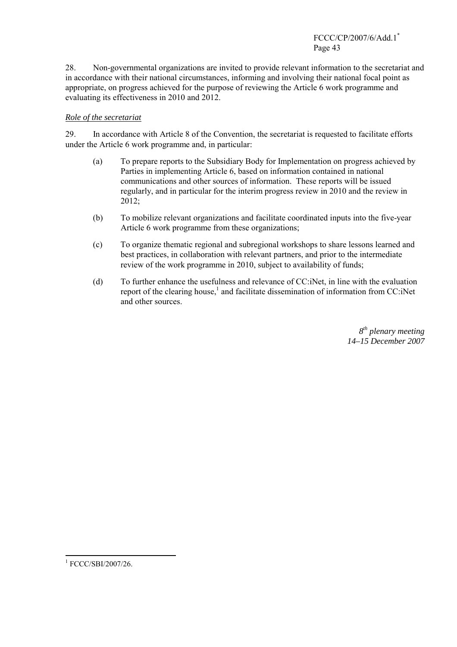28. Non-governmental organizations are invited to provide relevant information to the secretariat and in accordance with their national circumstances, informing and involving their national focal point as appropriate, on progress achieved for the purpose of reviewing the Article 6 work programme and evaluating its effectiveness in 2010 and 2012.

### *Role of the secretariat*

29. In accordance with Article 8 of the Convention, the secretariat is requested to facilitate efforts under the Article 6 work programme and, in particular:

- (a) To prepare reports to the Subsidiary Body for Implementation on progress achieved by Parties in implementing Article 6, based on information contained in national communications and other sources of information. These reports will be issued regularly, and in particular for the interim progress review in 2010 and the review in 2012;
- (b) To mobilize relevant organizations and facilitate coordinated inputs into the five-year Article 6 work programme from these organizations;
- (c) To organize thematic regional and subregional workshops to share lessons learned and best practices, in collaboration with relevant partners, and prior to the intermediate review of the work programme in 2010, subject to availability of funds;
- (d) To further enhance the usefulness and relevance of CC:iNet, in line with the evaluation report of the clearing house,<sup>1</sup> and facilitate dissemination of information from CC:iNet and other sources.

*8th plenary meeting 14–15 December 2007*

 $\overline{a}$ 

<sup>1</sup> FCCC/SBI/2007/26.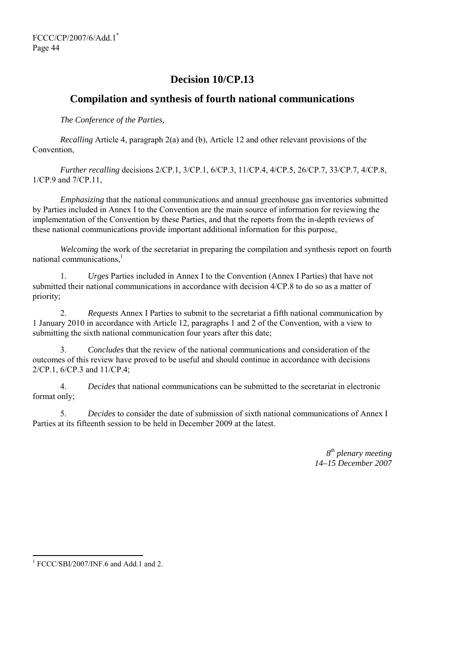# **Decision 10/CP.13**

# **Compilation and synthesis of fourth national communications**

*The Conference of the Parties,*

*Recalling* Article 4, paragraph 2(a) and (b), Article 12 and other relevant provisions of the Convention,

*Further recalling* decisions 2/CP.1, 3/CP.1, 6/CP.3, 11/CP.4, 4/CP.5, 26/CP.7, 33/CP.7, 4/CP.8, 1/CP.9 and 7/CP.11,

*Emphasizing* that the national communications and annual greenhouse gas inventories submitted by Parties included in Annex I to the Convention are the main source of information for reviewing the implementation of the Convention by these Parties, and that the reports from the in-depth reviews of these national communications provide important additional information for this purpose,

*Welcoming* the work of the secretariat in preparing the compilation and synthesis report on fourth national communications, $<sup>1</sup>$ </sup>

1. *Urges* Parties included in Annex I to the Convention (Annex I Parties) that have not submitted their national communications in accordance with decision 4/CP.8 to do so as a matter of priority;

2. *Requests* Annex I Parties to submit to the secretariat a fifth national communication by 1 January 2010 in accordance with Article 12, paragraphs 1 and 2 of the Convention, with a view to submitting the sixth national communication four years after this date;

3. *Concludes* that the review of the national communications and consideration of the outcomes of this review have proved to be useful and should continue in accordance with decisions 2/CP.1, 6/CP.3 and 11/CP.4;

4. *Decides* that national communications can be submitted to the secretariat in electronic format only;

5. *Decides* to consider the date of submission of sixth national communications of Annex I Parties at its fifteenth session to be held in December 2009 at the latest.

> *8th plenary meeting 14–15 December 2007*

 $\overline{\phantom{a}}$ 

<sup>1</sup> FCCC/SBI/2007/INF.6 and Add.1 and 2.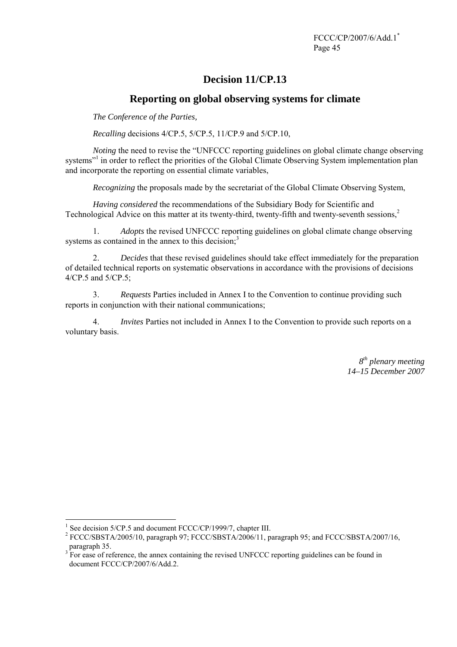# **Decision 11/CP.13**

# **Reporting on global observing systems for climate**

*The Conference of the Parties,* 

*Recalling* decisions 4/CP.5, 5/CP.5, 11/CP.9 and 5/CP.10,

*Noting* the need to revise the "UNFCCC reporting guidelines on global climate change observing systems"<sup>1</sup> in order to reflect the priorities of the Global Climate Observing System implementation plan and incorporate the reporting on essential climate variables,

*Recognizing* the proposals made by the secretariat of the Global Climate Observing System,

*Having considered* the recommendations of the Subsidiary Body for Scientific and Technological Advice on this matter at its twenty-third, twenty-fifth and twenty-seventh sessions,<sup>2</sup>

1. *Adopts* the revised UNFCCC reporting guidelines on global climate change observing systems as contained in the annex to this decision; $3$ 

2. *Decides* that these revised guidelines should take effect immediately for the preparation of detailed technical reports on systematic observations in accordance with the provisions of decisions 4/CP.5 and 5/CP.5;

3. *Requests* Parties included in Annex I to the Convention to continue providing such reports in conjunction with their national communications;

4. *Invites* Parties not included in Annex I to the Convention to provide such reports on a voluntary basis.

> *8th plenary meeting 14–15 December 2007*

<sup>&</sup>lt;sup>1</sup> See decision 5/CP.5 and document FCCC/CP/1999/7, chapter III.<br><sup>2</sup> ECCC/SPSTA/2005/10, paragraph 97: ECCC/SPSTA/2006/11, pa

<sup>&</sup>lt;sup>2</sup> FCCC/SBSTA/2005/10, paragraph 97; FCCC/SBSTA/2006/11, paragraph 95; and FCCC/SBSTA/2007/16, paragraph 35.

<sup>&</sup>lt;sup>3</sup> For ease of reference, the annex containing the revised UNFCCC reporting guidelines can be found in document FCCC/CP/2007/6/Add.2.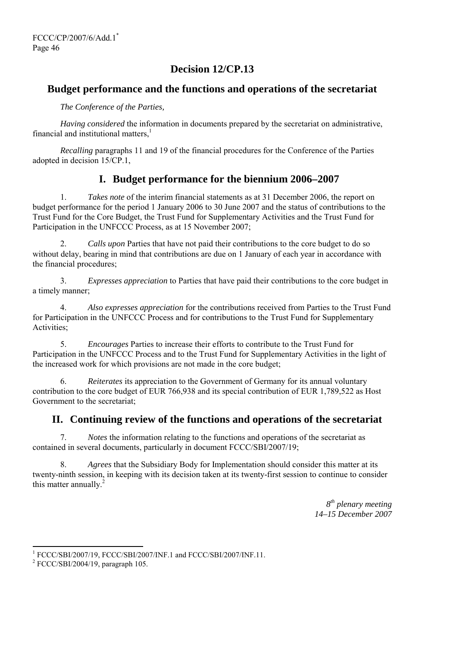# **Decision 12/CP.13**

# **Budget performance and the functions and operations of the secretariat**

*The Conference of the Parties,* 

*Having considered* the information in documents prepared by the secretariat on administrative, financial and institutional matters, $<sup>1</sup>$ </sup>

*Recalling* paragraphs 11 and 19 of the financial procedures for the Conference of the Parties adopted in decision 15/CP.1,

# **I. Budget performance for the biennium 2006–2007**

1. *Takes note* of the interim financial statements as at 31 December 2006, the report on budget performance for the period 1 January 2006 to 30 June 2007 and the status of contributions to the Trust Fund for the Core Budget, the Trust Fund for Supplementary Activities and the Trust Fund for Participation in the UNFCCC Process, as at 15 November 2007;

2. *Calls upon* Parties that have not paid their contributions to the core budget to do so without delay, bearing in mind that contributions are due on 1 January of each year in accordance with the financial procedures;

3. *Expresses appreciation* to Parties that have paid their contributions to the core budget in a timely manner;

4. *Also expresses appreciation* for the contributions received from Parties to the Trust Fund for Participation in the UNFCCC Process and for contributions to the Trust Fund for Supplementary Activities;

5. *Encourages* Parties to increase their efforts to contribute to the Trust Fund for Participation in the UNFCCC Process and to the Trust Fund for Supplementary Activities in the light of the increased work for which provisions are not made in the core budget;

6. *Reiterates* its appreciation to the Government of Germany for its annual voluntary contribution to the core budget of EUR 766,938 and its special contribution of EUR 1,789,522 as Host Government to the secretariat;

# **II. Continuing review of the functions and operations of the secretariat**

7. *Notes* the information relating to the functions and operations of the secretariat as contained in several documents, particularly in document FCCC/SBI/2007/19;

8. *Agrees* that the Subsidiary Body for Implementation should consider this matter at its twenty-ninth session, in keeping with its decision taken at its twenty-first session to continue to consider this matter annually.<sup>2</sup>

> *8th plenary meeting 14–15 December 2007*

l  $^{1}$  FCCC/SBI/2007/19, FCCC/SBI/2007/INF.1 and FCCC/SBI/2007/INF.11.<br> $^{2}$  ECCC/SBI/2004/10, perceps 105

 $2$  FCCC/SBI/2004/19, paragraph 105.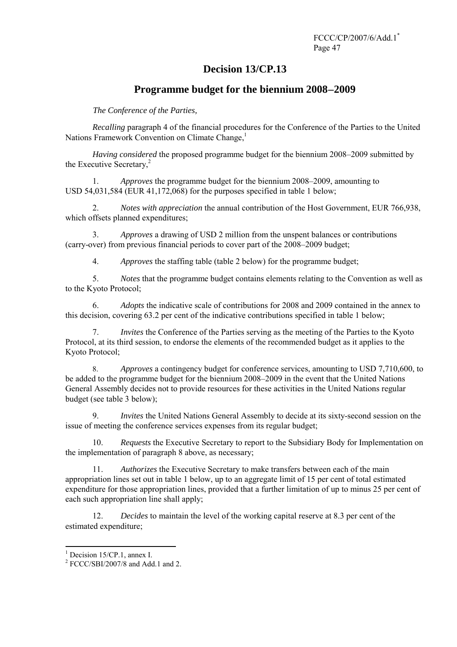# **Decision 13/CP.13**

# **Programme budget for the biennium 2008**−**2009**

*The Conference of the Parties,* 

*Recalling* paragraph 4 of the financial procedures for the Conference of the Parties to the United Nations Framework Convention on Climate Change,<sup>1</sup>

*Having considered* the proposed programme budget for the biennium 2008–2009 submitted by the Executive Secretary,<sup>2</sup>

1. *Approves* the programme budget for the biennium 2008–2009, amounting to USD 54,031,584 (EUR 41,172,068) for the purposes specified in table 1 below;

2. *Notes with appreciation* the annual contribution of the Host Government, EUR 766,938, which offsets planned expenditures;

3. *Approves* a drawing of USD 2 million from the unspent balances or contributions (carry-over) from previous financial periods to cover part of the  $2008-2009$  budget;

4. *Approves* the staffing table (table 2 below) for the programme budget;

5. *Notes* that the programme budget contains elements relating to the Convention as well as to the Kyoto Protocol;

6. *Adopts* the indicative scale of contributions for 2008 and 2009 contained in the annex to this decision, covering 63.2 per cent of the indicative contributions specified in table 1 below;

7. *Invites* the Conference of the Parties serving as the meeting of the Parties to the Kyoto Protocol, at its third session, to endorse the elements of the recommended budget as it applies to the Kyoto Protocol;

8. *Approves* a contingency budget for conference services, amounting to USD 7,710,600, to be added to the programme budget for the biennium 2008–2009 in the event that the United Nations General Assembly decides not to provide resources for these activities in the United Nations regular budget (see table 3 below);

9. *Invites* the United Nations General Assembly to decide at its sixty-second session on the issue of meeting the conference services expenses from its regular budget;

10. *Requests* the Executive Secretary to report to the Subsidiary Body for Implementation on the implementation of paragraph 8 above, as necessary;

11. *Authorizes* the Executive Secretary to make transfers between each of the main appropriation lines set out in table 1 below, up to an aggregate limit of 15 per cent of total estimated expenditure for those appropriation lines, provided that a further limitation of up to minus 25 per cent of each such appropriation line shall apply;

12. *Decides* to maintain the level of the working capital reserve at 8.3 per cent of the estimated expenditure;

<sup>&</sup>lt;sup>1</sup> Decision 15/CP.1, annex I.

 $2$  FCCC/SBI/2007/8 and Add.1 and 2.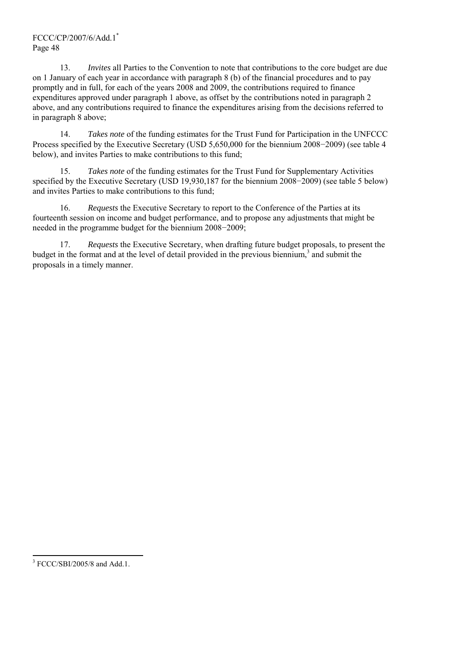13. *Invites* all Parties to the Convention to note that contributions to the core budget are due on 1 January of each year in accordance with paragraph 8 (b) of the financial procedures and to pay promptly and in full, for each of the years 2008 and 2009, the contributions required to finance expenditures approved under paragraph 1 above, as offset by the contributions noted in paragraph 2 above, and any contributions required to finance the expenditures arising from the decisions referred to in paragraph 8 above;

14. *Takes note* of the funding estimates for the Trust Fund for Participation in the UNFCCC Process specified by the Executive Secretary (USD 5,650,000 for the biennium 2008−2009) (see table 4 below), and invites Parties to make contributions to this fund;

15. *Takes note* of the funding estimates for the Trust Fund for Supplementary Activities specified by the Executive Secretary (USD 19,930,187 for the biennium 2008<sup>−2</sup>009) (see table 5 below) and invites Parties to make contributions to this fund;

16. *Requests* the Executive Secretary to report to the Conference of the Parties at its fourteenth session on income and budget performance, and to propose any adjustments that might be needed in the programme budget for the biennium 2008−2009;

17. *Requests* the Executive Secretary, when drafting future budget proposals, to present the budget in the format and at the level of detail provided in the previous biennium, $3$  and submit the proposals in a timely manner.

 $\overline{\phantom{a}}$ 

<sup>3</sup> FCCC/SBI/2005/8 and Add.1.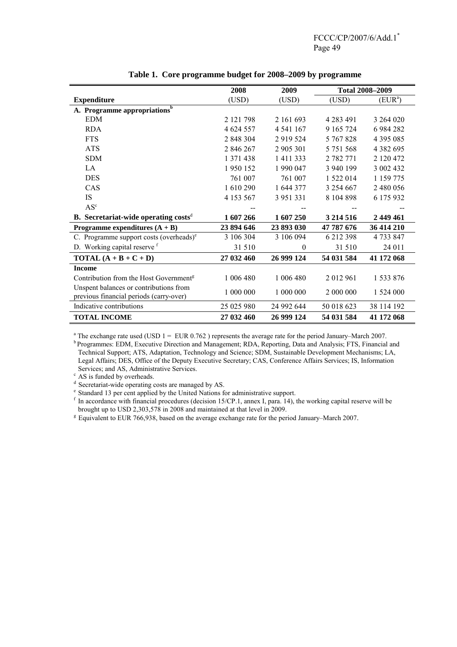|                                                                                   | 2008          | 2009          |               | <b>Total 2008–2009</b> |
|-----------------------------------------------------------------------------------|---------------|---------------|---------------|------------------------|
| <b>Expenditure</b>                                                                | (USD)         | (USD)         | (USD)         | $(EUR^a)$              |
| A. Programme appropriations <sup>b</sup>                                          |               |               |               |                        |
| <b>EDM</b>                                                                        | 2 121 798     | 2 161 693     | 4 2 8 3 4 9 1 | 3 264 020              |
| <b>RDA</b>                                                                        | 4 624 557     | 4 541 167     | 9 165 724     | 6984282                |
| <b>FTS</b>                                                                        | 2 848 304     | 2 9 19 5 24   | 5 767 828     | 4 3 9 5 0 8 5          |
| <b>ATS</b>                                                                        | 2 846 267     | 2 905 301     | 5 7 5 1 5 6 8 | 4 3 8 2 6 9 5          |
| <b>SDM</b>                                                                        | 1 371 438     | 1411333       | 2 7 8 2 7 7 1 | 2 120 472              |
| LA                                                                                | 1950152       | 1 990 047     | 3 940 199     | 3 002 432              |
| <b>DES</b>                                                                        | 761 007       | 761 007       | 1 522 014     | 1 159 775              |
| CAS                                                                               | 1 610 290     | 1 644 377     | 3 254 667     | 2 480 056              |
| <b>IS</b>                                                                         | 4 1 5 3 5 6 7 | 3 9 5 1 3 3 1 | 8 104 8 98    | 6 175 932              |
| AS <sup>c</sup>                                                                   |               |               |               |                        |
| <b>B.</b> Secretariat-wide operating costs <sup>d</sup>                           | 1607266       | 1 607 250     | 3 2 1 4 5 1 6 | 2 449 461              |
| Programme expenditures $(A + B)$                                                  | 23 894 646    | 23 893 030    | 47 787 676    | 36 414 210             |
| C. Programme support costs (overheads) $e$                                        | 3 106 304     | 3 106 094     | 6 2 1 2 3 9 8 | 4 733 847              |
| D. Working capital reserve f                                                      | 31510         | $\theta$      | 31 510        | 24 011                 |
| <b>TOTAL</b> $(A + B + C + D)$                                                    | 27 032 460    | 26 999 124    | 54 031 584    | 41 172 068             |
| <b>Income</b>                                                                     |               |               |               |                        |
| Contribution from the Host Government <sup>g</sup>                                | 1 006 480     | 1 006 480     | 2 012 961     | 1 533 876              |
| Unspent balances or contributions from<br>previous financial periods (carry-over) | 1 000 000     | 1 000 000     | 2 000 000     | 1 524 000              |
| Indicative contributions                                                          | 25 025 980    | 24 992 644    | 50 018 623    | 38 114 192             |
| <b>TOTAL INCOME</b>                                                               | 27 032 460    | 26 999 124    | 54 031 584    | 41 172 068             |

|  | Table 1. Core programme budget for 2008–2009 by programme |  |  |  |
|--|-----------------------------------------------------------|--|--|--|
|--|-----------------------------------------------------------|--|--|--|

<sup>a</sup> The exchange rate used (USD  $1 = EUR 0.762$ ) represents the average rate for the period January–March 2007. b Programmes: EDM, Executive Direction and Management; RDA, Reporting, Data and Analysis; FTS, Financial and Technical Support; ATS, Adaptation, Technology and Science; SDM, Sustainable Development Mechanisms; LA, Legal Affairs; DES, Office of the Deputy Executive Secretary; CAS, Conference Affairs Services; IS, Information Services; and AS, Administrative Services.

<sup>c</sup> AS is funded by overheads.

d Secretariat-wide operating costs are managed by AS.

e Standard 13 per cent applied by the United Nations for administrative support.

f In accordance with financial procedures (decision 15/CP.1, annex I, para. 14), the working capital reserve will be brought up to USD 2,303,578 in 2008 and maintained at that level in 2009.

<sup>g</sup> Equivalent to EUR 766,938, based on the average exchange rate for the period January–March 2007.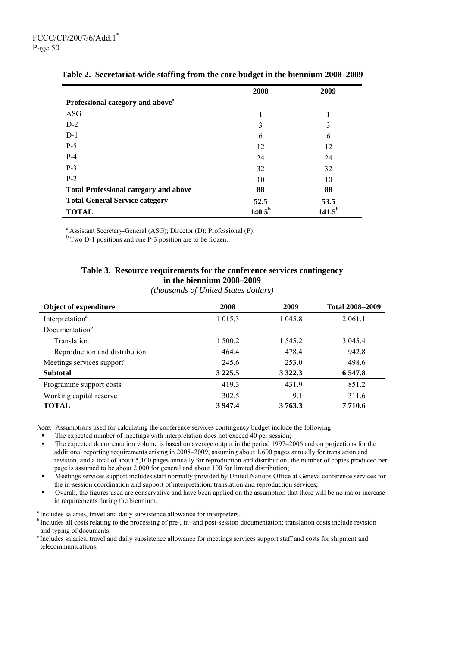|                                              | 2008            | 2009            |
|----------------------------------------------|-----------------|-----------------|
| Professional category and above <sup>a</sup> |                 |                 |
| ASG                                          |                 |                 |
| $D-2$                                        | 3               | 3               |
| $D-1$                                        | 6               | 6               |
| $P-5$                                        | 12              | 12              |
| $P-4$                                        | 24              | 24              |
| $P-3$                                        | 32              | 32              |
| $P-2$                                        | 10              | 10              |
| <b>Total Professional category and above</b> | 88              | 88              |
| <b>Total General Service category</b>        | 52.5            | 53.5            |
| <b>TOTAL</b>                                 | $140.5^{\rm b}$ | $141.5^{\circ}$ |

#### **Table 2. Secretariat-wide staffing from the core budget in the biennium 2008–2009**

a Assistant Secretary-General (ASG); Director (D); Professional (P).

<sup>b</sup> Two D-1 positions and one P-3 position are to be frozen.

### **Table 3. Resource requirements for the conference services contingency in the biennium 2008–2009**

| Object of expenditure                  | 2008       | 2009        | <b>Total 2008–2009</b> |
|----------------------------------------|------------|-------------|------------------------|
| Interpretation <sup>a</sup>            | 1 015.3    | 1 045.8     | 2 0 6 1 .1             |
| Documentation <sup>b</sup>             |            |             |                        |
| <b>Translation</b>                     | 1 500.2    | 1 545.2     | 3 045.4                |
| Reproduction and distribution          | 464.4      | 478.4       | 942.8                  |
| Meetings services support <sup>c</sup> | 245.6      | 253.0       | 498.6                  |
| <b>Subtotal</b>                        | 3 2 2 5 .5 | 3 3 2 2 . 3 | 6 5 4 7 .8             |
| Programme support costs                | 419.3      | 431.9       | 851.2                  |
| Working capital reserve                | 302.5      | 9.1         | 311.6                  |
| TOTAL                                  | 3 947.4    | 3 763.3     | 7 7 1 0.6              |

*Note*: Assumptions used for calculating the conference services contingency budget include the following:

! The expected number of meetings with interpretation does not exceed 40 per session;

The expected documentation volume is based on average output in the period 1997–2006 and on projections for the additional reporting requirements arising in 2008–2009, assuming about 1,600 pages annually for translation and revision, and a total of about 5,100 pages annually for reproduction and distribution; the number of copies produced per page is assumed to be about 2,000 for general and about 100 for limited distribution;

! Meetings services support includes staff normally provided by United Nations Office at Geneva conference services for the in-session coordination and support of interpretation, translation and reproduction services;

! Overall, the figures used are conservative and have been applied on the assumption that there will be no major increase in requirements during the biennium.

 $^{\text{a}}$  Includes salaries, travel and daily subsistence allowance for interpreters.<br> $^{\text{b}}$  Includes all costs relating to the processing of pre-, in- and post-session documentation; translation costs include revision and typing of documents.

c Includes salaries, travel and daily subsistence allowance for meetings services support staff and costs for shipment and telecommunications.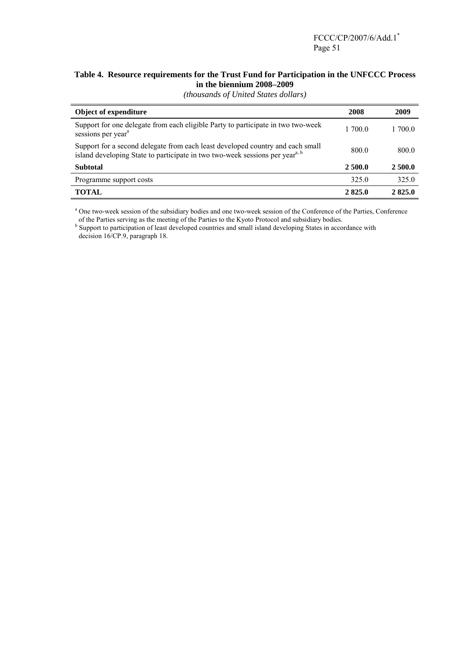### **Table 4. Resource requirements for the Trust Fund for Participation in the UNFCCC Process in the biennium 2008–2009**

| Object of expenditure                                                                                                                                                      | 2008    | 2009    |
|----------------------------------------------------------------------------------------------------------------------------------------------------------------------------|---------|---------|
| Support for one delegate from each eligible Party to participate in two two-week<br>sessions per year <sup>a</sup>                                                         | 1 700.0 | 1 700.0 |
| Support for a second delegate from each least developed country and each small<br>island developing State to participate in two two-week sessions per year <sup>a, b</sup> | 800.0   | 800.0   |
| <b>Subtotal</b>                                                                                                                                                            | 2 500.0 | 2 500.0 |
| Programme support costs                                                                                                                                                    | 325.0   | 325.0   |
| TOTAL                                                                                                                                                                      | 2 825.0 | 2 825.0 |

*(thousands of United States dollars)* 

<sup>a</sup> One two-week session of the subsidiary bodies and one two-week session of the Conference of the Parties, Conference of the Parties serving as the meeting of the Parties to the Kyoto Protocol and subsidiary bodies.

<sup>b</sup> Support to participation of least developed countries and small island developing States in accordance with decision 16/CP.9, paragraph 18.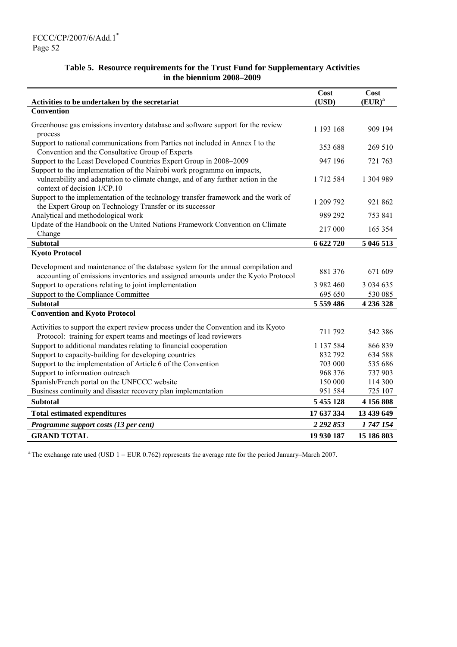| Table 5. Resource requirements for the Trust Fund for Supplementary Activities |
|--------------------------------------------------------------------------------|
| in the biennium $2008-2009$                                                    |

| Activities to be undertaken by the secretariat                                                                                                                                             | Cost<br>(USD) | Cost<br>$(EUR)^a$ |
|--------------------------------------------------------------------------------------------------------------------------------------------------------------------------------------------|---------------|-------------------|
| <b>Convention</b>                                                                                                                                                                          |               |                   |
| Greenhouse gas emissions inventory database and software support for the review<br>process                                                                                                 | 1 193 168     | 909 194           |
| Support to national communications from Parties not included in Annex I to the<br>Convention and the Consultative Group of Experts                                                         | 353 688       | 269 510           |
| Support to the Least Developed Countries Expert Group in 2008-2009                                                                                                                         | 947 196       | 721 763           |
| Support to the implementation of the Nairobi work programme on impacts,<br>vulnerability and adaptation to climate change, and of any further action in the<br>context of decision 1/CP.10 | 1 712 584     | 1 304 989         |
| Support to the implementation of the technology transfer framework and the work of<br>the Expert Group on Technology Transfer or its successor                                             | 1 209 792     | 921 862           |
| Analytical and methodological work                                                                                                                                                         | 989 292       | 753 841           |
| Update of the Handbook on the United Nations Framework Convention on Climate<br>Change                                                                                                     | 217 000       | 165 354           |
| <b>Subtotal</b>                                                                                                                                                                            | 6 622 720     | 5 046 513         |
| <b>Kyoto Protocol</b>                                                                                                                                                                      |               |                   |
| Development and maintenance of the database system for the annual compilation and<br>accounting of emissions inventories and assigned amounts under the Kyoto Protocol                     | 881 376       | 671 609           |
| Support to operations relating to joint implementation                                                                                                                                     | 3 982 460     | 3 0 3 4 6 3 5     |
| Support to the Compliance Committee                                                                                                                                                        | 695 650       | 530 085           |
| <b>Subtotal</b>                                                                                                                                                                            | 5 559 486     | 4 236 328         |
| <b>Convention and Kyoto Protocol</b>                                                                                                                                                       |               |                   |
| Activities to support the expert review process under the Convention and its Kyoto<br>Protocol: training for expert teams and meetings of lead reviewers                                   | 711 792       | 542 386           |
| Support to additional mandates relating to financial cooperation                                                                                                                           | 1 137 584     | 866 839           |
| Support to capacity-building for developing countries                                                                                                                                      | 832792        | 634 588           |
| Support to the implementation of Article 6 of the Convention                                                                                                                               | 703 000       | 535 686           |
| Support to information outreach                                                                                                                                                            | 968 376       | 737903            |
| Spanish/French portal on the UNFCCC website                                                                                                                                                | 150 000       | 114 300           |
| Business continuity and disaster recovery plan implementation                                                                                                                              | 951 584       | 725 107           |
| <b>Subtotal</b>                                                                                                                                                                            | 5 455 128     | 4 156 808         |
| <b>Total estimated expenditures</b>                                                                                                                                                        | 17 637 334    | 13 439 649        |
| Programme support costs (13 per cent)                                                                                                                                                      | 2 292 853     | 1747154           |
| <b>GRAND TOTAL</b>                                                                                                                                                                         | 19 930 187    | 15 186 803        |

<sup>a</sup> The exchange rate used (USD  $1 =$  EUR 0.762) represents the average rate for the period January–March 2007.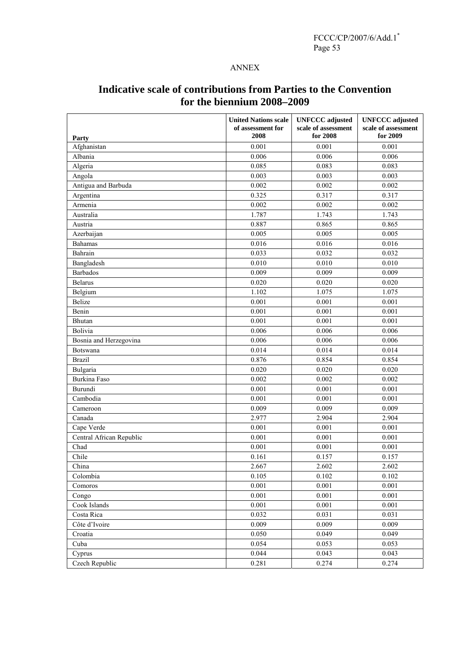### ANNEX

| for 2008<br>for 2009<br>2008<br>Party<br>Afghanistan<br>0.001<br>0.001<br>0.001<br>Albania<br>0.006<br>0.006<br>0.006<br>0.083<br>Algeria<br>0.085<br>0.083<br>0.003<br>0.003<br>0.003<br>Angola<br>0.002<br>0.002<br>Antigua and Barbuda<br>0.002<br>0.325<br>0.317<br>Argentina<br>0.317<br>0.002<br>0.002<br>0.002<br>Armenia<br>Australia<br>1.787<br>1.743<br>1.743<br>0.865<br>Austria<br>0.887<br>0.865<br>0.005<br>Azerbaijan<br>0.005<br>0.005<br><b>Bahamas</b><br>0.016<br>0.016<br>0.016 |
|------------------------------------------------------------------------------------------------------------------------------------------------------------------------------------------------------------------------------------------------------------------------------------------------------------------------------------------------------------------------------------------------------------------------------------------------------------------------------------------------------|
|                                                                                                                                                                                                                                                                                                                                                                                                                                                                                                      |
|                                                                                                                                                                                                                                                                                                                                                                                                                                                                                                      |
|                                                                                                                                                                                                                                                                                                                                                                                                                                                                                                      |
|                                                                                                                                                                                                                                                                                                                                                                                                                                                                                                      |
|                                                                                                                                                                                                                                                                                                                                                                                                                                                                                                      |
|                                                                                                                                                                                                                                                                                                                                                                                                                                                                                                      |
|                                                                                                                                                                                                                                                                                                                                                                                                                                                                                                      |
|                                                                                                                                                                                                                                                                                                                                                                                                                                                                                                      |
|                                                                                                                                                                                                                                                                                                                                                                                                                                                                                                      |
|                                                                                                                                                                                                                                                                                                                                                                                                                                                                                                      |
|                                                                                                                                                                                                                                                                                                                                                                                                                                                                                                      |
|                                                                                                                                                                                                                                                                                                                                                                                                                                                                                                      |
| 0.033<br>0.032<br>0.032<br>Bahrain                                                                                                                                                                                                                                                                                                                                                                                                                                                                   |
| 0.010<br>0.010<br>0.010<br>Bangladesh                                                                                                                                                                                                                                                                                                                                                                                                                                                                |
| 0.009<br>0.009<br>0.009<br><b>Barbados</b>                                                                                                                                                                                                                                                                                                                                                                                                                                                           |
| <b>Belarus</b><br>0.020<br>0.020<br>0.020                                                                                                                                                                                                                                                                                                                                                                                                                                                            |
| 1.075<br>1.102<br>1.075<br>Belgium                                                                                                                                                                                                                                                                                                                                                                                                                                                                   |
| <b>Belize</b><br>0.001<br>0.001<br>0.001                                                                                                                                                                                                                                                                                                                                                                                                                                                             |
| Benin<br>0.001<br>0.001<br>0.001                                                                                                                                                                                                                                                                                                                                                                                                                                                                     |
| Bhutan<br>0.001<br>0.001<br>0.001                                                                                                                                                                                                                                                                                                                                                                                                                                                                    |
| Bolivia<br>0.006<br>0.006<br>0.006                                                                                                                                                                                                                                                                                                                                                                                                                                                                   |
| Bosnia and Herzegovina<br>0.006<br>0.006<br>0.006                                                                                                                                                                                                                                                                                                                                                                                                                                                    |
| 0.014<br>0.014<br>0.014<br>Botswana                                                                                                                                                                                                                                                                                                                                                                                                                                                                  |
| 0.876<br>0.854<br>0.854<br><b>Brazil</b>                                                                                                                                                                                                                                                                                                                                                                                                                                                             |
| 0.020<br>0.020<br>0.020<br>Bulgaria                                                                                                                                                                                                                                                                                                                                                                                                                                                                  |
| Burkina Faso<br>0.002<br>0.002<br>0.002                                                                                                                                                                                                                                                                                                                                                                                                                                                              |
| 0.001<br>Burundi<br>0.001<br>0.001                                                                                                                                                                                                                                                                                                                                                                                                                                                                   |
| 0.001<br>Cambodia<br>0.001<br>0.001                                                                                                                                                                                                                                                                                                                                                                                                                                                                  |
| 0.009<br>0.009<br>0.009<br>Cameroon                                                                                                                                                                                                                                                                                                                                                                                                                                                                  |
| 2.977<br>2.904<br>2.904<br>Canada                                                                                                                                                                                                                                                                                                                                                                                                                                                                    |
| 0.001<br>0.001<br>Cape Verde<br>0.001                                                                                                                                                                                                                                                                                                                                                                                                                                                                |
| Central African Republic<br>0.001<br>0.001<br>0.001                                                                                                                                                                                                                                                                                                                                                                                                                                                  |
| Chad<br>0.001<br>0.001<br>0.001                                                                                                                                                                                                                                                                                                                                                                                                                                                                      |
| Chile<br>0.161<br>0.157<br>0.157                                                                                                                                                                                                                                                                                                                                                                                                                                                                     |
| 2.667<br>2.602<br>2.602<br>China                                                                                                                                                                                                                                                                                                                                                                                                                                                                     |
| Colombia<br>0.105<br>0.102<br>0.102                                                                                                                                                                                                                                                                                                                                                                                                                                                                  |
| 0.001<br>0.001<br>0.001<br>Comoros                                                                                                                                                                                                                                                                                                                                                                                                                                                                   |
| 0.001<br>0.001<br>0.001<br>Congo                                                                                                                                                                                                                                                                                                                                                                                                                                                                     |
| Cook Islands<br>0.001<br>0.001<br>0.001                                                                                                                                                                                                                                                                                                                                                                                                                                                              |
| Costa Rica<br>0.032<br>0.031<br>0.031                                                                                                                                                                                                                                                                                                                                                                                                                                                                |
| Côte d'Ivoire<br>0.009<br>0.009<br>0.009                                                                                                                                                                                                                                                                                                                                                                                                                                                             |
| 0.050<br>Croatia<br>0.049<br>0.049                                                                                                                                                                                                                                                                                                                                                                                                                                                                   |
| 0.054<br>Cuba<br>0.053<br>0.053                                                                                                                                                                                                                                                                                                                                                                                                                                                                      |
| 0.044<br>0.043<br>0.043<br>Cyprus                                                                                                                                                                                                                                                                                                                                                                                                                                                                    |
| Czech Republic<br>0.274<br>0.274<br>0.281                                                                                                                                                                                                                                                                                                                                                                                                                                                            |

# **Indicative scale of contributions from Parties to the Convention for the biennium 2008–2009**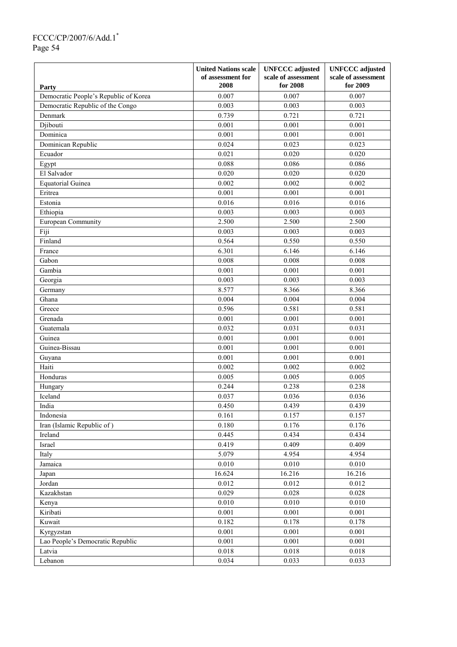| Party                                 | <b>United Nations scale</b><br>of assessment for<br>2008 | <b>UNFCCC</b> adjusted<br>scale of assessment<br>for 2008 | <b>UNFCCC</b> adjusted<br>scale of assessment<br>for 2009 |
|---------------------------------------|----------------------------------------------------------|-----------------------------------------------------------|-----------------------------------------------------------|
| Democratic People's Republic of Korea | 0.007                                                    | 0.007                                                     | 0.007                                                     |
| Democratic Republic of the Congo      | 0.003                                                    | 0.003                                                     | 0.003                                                     |
| Denmark                               | 0.739                                                    | 0.721                                                     | 0.721                                                     |
| Djibouti                              | 0.001                                                    | 0.001                                                     | 0.001                                                     |
| Dominica                              | 0.001                                                    | 0.001                                                     | 0.001                                                     |
| Dominican Republic                    | 0.024                                                    | 0.023                                                     | 0.023                                                     |
| Ecuador                               | 0.021                                                    | 0.020                                                     | 0.020                                                     |
|                                       | 0.088                                                    | 0.086                                                     | 0.086                                                     |
| Egypt<br>El Salvador                  | 0.020                                                    | 0.020                                                     | 0.020                                                     |
|                                       | 0.002                                                    | 0.002                                                     | 0.002                                                     |
| Equatorial Guinea                     |                                                          |                                                           |                                                           |
| Eritrea                               | 0.001                                                    | 0.001                                                     | 0.001                                                     |
| Estonia                               | 0.016                                                    | 0.016                                                     | 0.016                                                     |
| Ethiopia                              | 0.003                                                    | 0.003                                                     | 0.003                                                     |
| European Community                    | 2.500                                                    | 2.500                                                     | 2.500                                                     |
| Fiji                                  | 0.003                                                    | 0.003                                                     | 0.003                                                     |
| Finland                               | 0.564                                                    | 0.550                                                     | 0.550                                                     |
| France                                | 6.301                                                    | 6.146                                                     | 6.146                                                     |
| Gabon                                 | 0.008                                                    | 0.008                                                     | 0.008                                                     |
| Gambia                                | 0.001                                                    | 0.001                                                     | 0.001                                                     |
| Georgia                               | 0.003                                                    | 0.003                                                     | 0.003                                                     |
| Germany                               | 8.577                                                    | 8.366                                                     | 8.366                                                     |
| Ghana                                 | 0.004                                                    | 0.004                                                     | 0.004                                                     |
| Greece                                | 0.596                                                    | 0.581                                                     | 0.581                                                     |
| Grenada                               | 0.001                                                    | 0.001                                                     | 0.001                                                     |
| Guatemala                             | 0.032                                                    | 0.031                                                     | 0.031                                                     |
| Guinea                                | 0.001                                                    | 0.001                                                     | 0.001                                                     |
| Guinea-Bissau                         | 0.001                                                    | 0.001                                                     | 0.001                                                     |
| Guyana                                | 0.001                                                    | 0.001                                                     | 0.001                                                     |
| Haiti                                 | 0.002                                                    | 0.002                                                     | 0.002                                                     |
| Honduras                              | 0.005                                                    | 0.005                                                     | 0.005                                                     |
| Hungary                               | 0.244                                                    | 0.238                                                     | 0.238                                                     |
| Iceland                               | 0.037                                                    | 0.036                                                     | 0.036                                                     |
| India                                 | 0.450                                                    | 0.439                                                     | 0.439                                                     |
| Indonesia                             | 0.161                                                    | 0.157                                                     | 0.157                                                     |
| Iran (Islamic Republic of)            | 0.180                                                    | 0.176                                                     | 0.176                                                     |
| Ireland                               | 0.445                                                    | 0.434                                                     | 0.434                                                     |
| Israel                                | 0.419                                                    | 0.409                                                     | 0.409                                                     |
| Italy                                 | 5.079                                                    | 4.954                                                     | 4.954                                                     |
| Jamaica                               | 0.010                                                    | 0.010                                                     | 0.010                                                     |
| Japan                                 | 16.624                                                   | 16.216                                                    | 16.216                                                    |
| Jordan                                | 0.012                                                    | 0.012                                                     | 0.012                                                     |
| Kazakhstan                            | 0.029                                                    | 0.028                                                     | 0.028                                                     |
| Kenya                                 | 0.010                                                    | 0.010                                                     | 0.010                                                     |
| Kiribati                              | 0.001                                                    | 0.001                                                     | 0.001                                                     |
| Kuwait                                | 0.182                                                    | 0.178                                                     | 0.178                                                     |
| Kyrgyzstan                            | 0.001                                                    | 0.001                                                     | 0.001                                                     |
| Lao People's Democratic Republic      | 0.001                                                    | 0.001                                                     | 0.001                                                     |
| Latvia                                | 0.018                                                    | 0.018                                                     | 0.018                                                     |
| Lebanon                               | 0.034                                                    | 0.033                                                     | 0.033                                                     |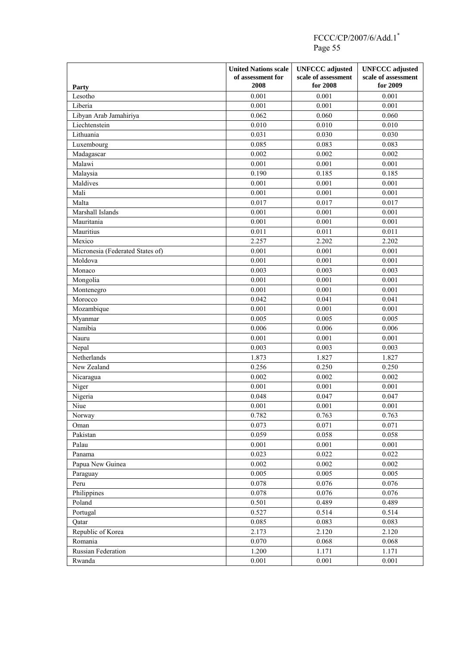|                                  | <b>United Nations scale</b><br>of assessment for<br>2008 | <b>UNFCCC</b> adjusted<br>scale of assessment<br>for 2008 | <b>UNFCCC</b> adjusted<br>scale of assessment<br>for 2009 |
|----------------------------------|----------------------------------------------------------|-----------------------------------------------------------|-----------------------------------------------------------|
| Party                            |                                                          |                                                           |                                                           |
| Lesotho                          | 0.001                                                    | 0.001                                                     | 0.001                                                     |
| Liberia                          | 0.001                                                    | 0.001                                                     | 0.001                                                     |
| Libyan Arab Jamahiriya           | 0.062                                                    | 0.060                                                     | 0.060                                                     |
| Liechtenstein                    | 0.010                                                    | 0.010                                                     | 0.010                                                     |
| Lithuania                        | 0.031                                                    | 0.030                                                     | 0.030                                                     |
| Luxembourg                       | 0.085                                                    | 0.083                                                     | 0.083                                                     |
| Madagascar                       | 0.002                                                    | 0.002                                                     | 0.002                                                     |
| Malawi                           | 0.001                                                    | 0.001                                                     | 0.001                                                     |
| Malaysia                         | 0.190                                                    | 0.185                                                     | 0.185                                                     |
| Maldives                         | 0.001                                                    | 0.001                                                     | 0.001                                                     |
| Mali                             | 0.001                                                    | 0.001                                                     | 0.001                                                     |
| Malta                            | 0.017                                                    | 0.017                                                     | 0.017                                                     |
| Marshall Islands                 | 0.001                                                    | 0.001                                                     | 0.001                                                     |
| Mauritania                       | 0.001                                                    | 0.001                                                     | 0.001                                                     |
| Mauritius                        | 0.011                                                    | 0.011                                                     | 0.011                                                     |
| Mexico                           | 2.257                                                    | 2.202                                                     | 2.202                                                     |
| Micronesia (Federated States of) | 0.001                                                    | 0.001                                                     | 0.001                                                     |
| Moldova                          | 0.001                                                    | 0.001                                                     | 0.001                                                     |
| Monaco                           | 0.003                                                    | 0.003                                                     | 0.003                                                     |
| Mongolia                         | 0.001                                                    | 0.001                                                     | 0.001                                                     |
| Montenegro                       | 0.001                                                    | 0.001                                                     | 0.001                                                     |
| Morocco                          | 0.042                                                    | 0.041                                                     | 0.041                                                     |
| Mozambique                       | 0.001                                                    | 0.001                                                     | 0.001                                                     |
| Myanmar                          | 0.005                                                    | 0.005                                                     | 0.005                                                     |
| Namibia                          | 0.006                                                    | 0.006                                                     | 0.006                                                     |
| Nauru                            | 0.001                                                    | 0.001                                                     | 0.001                                                     |
| Nepal                            | 0.003                                                    | 0.003                                                     | 0.003                                                     |
| Netherlands                      | 1.873                                                    | 1.827                                                     | 1.827                                                     |
| New Zealand                      | 0.256                                                    | 0.250                                                     | 0.250                                                     |
| Nicaragua                        | 0.002                                                    | 0.002                                                     | 0.002                                                     |
| Niger                            | 0.001                                                    | 0.001                                                     | 0.001                                                     |
| Nigeria                          | 0.048                                                    | 0.047                                                     | 0.047                                                     |
| Niue                             | 0.001                                                    | 0.001                                                     | 0.001                                                     |
| Norway                           | 0.782                                                    | 0.763                                                     | 0.763                                                     |
| Oman                             | 0.073                                                    | 0.071                                                     | 0.071                                                     |
| Pakistan                         | 0.059                                                    | 0.058                                                     | 0.058                                                     |
| Palau                            | 0.001                                                    | 0.001                                                     | 0.001                                                     |
| Panama                           | 0.023                                                    | 0.022                                                     | 0.022                                                     |
| Papua New Guinea                 | 0.002                                                    | 0.002                                                     | 0.002                                                     |
| Paraguay                         | 0.005                                                    | 0.005                                                     | 0.005                                                     |
| Peru                             | 0.078                                                    | 0.076                                                     | 0.076                                                     |
| Philippines                      | 0.078                                                    | 0.076                                                     | 0.076                                                     |
| Poland                           | 0.501                                                    | 0.489                                                     | 0.489                                                     |
| Portugal                         | 0.527                                                    | 0.514                                                     | 0.514                                                     |
| Qatar                            | 0.085                                                    | 0.083                                                     | 0.083                                                     |
| Republic of Korea                | 2.173                                                    | 2.120                                                     | 2.120                                                     |
| Romania                          | 0.070                                                    | 0.068                                                     |                                                           |
| Russian Federation               | 1.200                                                    | 1.171                                                     | 0.068                                                     |
|                                  |                                                          |                                                           | 1.171                                                     |
| Rwanda                           | $0.001\,$                                                | 0.001                                                     | 0.001                                                     |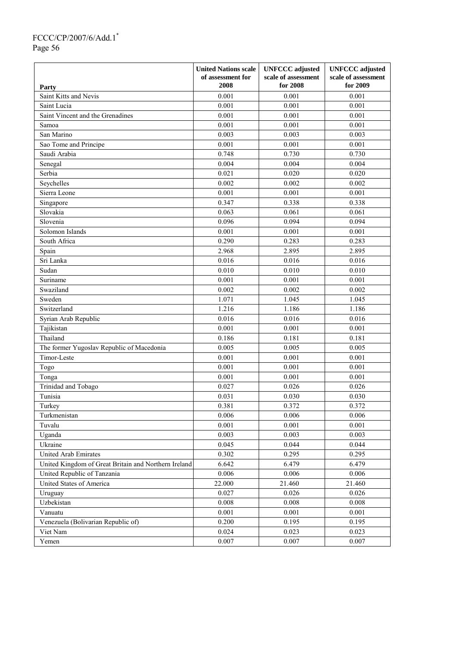|                                                      | <b>United Nations scale</b><br>of assessment for<br>2008 | <b>UNFCCC</b> adjusted<br>scale of assessment<br>for 2008 | <b>UNFCCC</b> adjusted<br>scale of assessment<br>for 2009 |
|------------------------------------------------------|----------------------------------------------------------|-----------------------------------------------------------|-----------------------------------------------------------|
| Party                                                |                                                          |                                                           |                                                           |
| Saint Kitts and Nevis                                | 0.001<br>0.001                                           | 0.001<br>0.001                                            | 0.001                                                     |
| Saint Lucia                                          |                                                          |                                                           | 0.001                                                     |
| Saint Vincent and the Grenadines                     | 0.001                                                    | 0.001                                                     | 0.001                                                     |
| Samoa                                                | 0.001                                                    | 0.001                                                     | 0.001                                                     |
| San Marino                                           | 0.003                                                    | 0.003                                                     | 0.003                                                     |
| Sao Tome and Principe                                | 0.001                                                    | 0.001                                                     | 0.001                                                     |
| Saudi Arabia                                         | 0.748                                                    | 0.730                                                     | 0.730                                                     |
| Senegal                                              | 0.004                                                    | 0.004                                                     | 0.004                                                     |
| Serbia                                               | 0.021                                                    | 0.020                                                     | 0.020                                                     |
| Seychelles                                           | 0.002                                                    | 0.002                                                     | 0.002                                                     |
| Sierra Leone                                         | 0.001                                                    | 0.001                                                     | 0.001                                                     |
| Singapore                                            | 0.347                                                    | 0.338                                                     | 0.338                                                     |
| Slovakia                                             | 0.063                                                    | 0.061                                                     | 0.061                                                     |
| Slovenia                                             | 0.096                                                    | 0.094                                                     | 0.094                                                     |
| Solomon Islands                                      | 0.001                                                    | 0.001                                                     | 0.001                                                     |
| South Africa                                         | 0.290                                                    | 0.283                                                     | 0.283                                                     |
| Spain                                                | 2.968                                                    | 2.895                                                     | 2.895                                                     |
| Sri Lanka                                            | 0.016                                                    | 0.016                                                     | 0.016                                                     |
| Sudan                                                | 0.010                                                    | 0.010                                                     | 0.010                                                     |
| Suriname                                             | 0.001                                                    | 0.001                                                     | 0.001                                                     |
| Swaziland                                            | 0.002                                                    | 0.002                                                     | 0.002                                                     |
| Sweden                                               | 1.071                                                    | 1.045                                                     | 1.045                                                     |
| Switzerland                                          | 1.216                                                    | 1.186                                                     | 1.186                                                     |
| Syrian Arab Republic                                 | 0.016                                                    | 0.016                                                     | 0.016                                                     |
| Tajikistan                                           | 0.001                                                    | 0.001                                                     | 0.001                                                     |
| Thailand                                             | 0.186                                                    | 0.181                                                     | 0.181                                                     |
| The former Yugoslav Republic of Macedonia            | 0.005                                                    | 0.005                                                     | 0.005                                                     |
| Timor-Leste                                          | 0.001                                                    | 0.001                                                     | 0.001                                                     |
| Togo                                                 | 0.001                                                    | 0.001                                                     | 0.001                                                     |
| Tonga                                                | 0.001                                                    | 0.001                                                     | 0.001                                                     |
| Trinidad and Tobago                                  | 0.027                                                    | 0.026                                                     | 0.026                                                     |
| Tunisia                                              | 0.031                                                    | 0.030                                                     | 0.030                                                     |
| Turkey                                               | 0.381                                                    | 0.372                                                     | 0.372                                                     |
| Turkmenistan                                         | 0.006                                                    | 0.006                                                     | 0.006                                                     |
| Tuvalu                                               | 0.001                                                    | 0.001                                                     | 0.001                                                     |
| Uganda                                               | 0.003                                                    | 0.003                                                     | 0.003                                                     |
| Ukraine                                              | 0.045                                                    | 0.044                                                     | 0.044                                                     |
| <b>United Arab Emirates</b>                          | 0.302                                                    | 0.295                                                     | 0.295                                                     |
| United Kingdom of Great Britain and Northern Ireland | 6.642                                                    | 6.479                                                     | 6.479                                                     |
| United Republic of Tanzania                          | 0.006                                                    | 0.006                                                     | 0.006                                                     |
| United States of America                             | 22.000                                                   | 21.460                                                    | 21.460                                                    |
| Uruguay                                              | 0.027                                                    | 0.026                                                     | 0.026                                                     |
| Uzbekistan                                           | 0.008                                                    | 0.008                                                     | 0.008                                                     |
| Vanuatu                                              | 0.001                                                    | 0.001                                                     | 0.001                                                     |
| Venezuela (Bolivarian Republic of)                   | 0.200                                                    | 0.195                                                     | 0.195                                                     |
| Viet Nam                                             | 0.024                                                    | 0.023                                                     | 0.023                                                     |
| Yemen                                                | 0.007                                                    | 0.007                                                     | 0.007                                                     |
|                                                      |                                                          |                                                           |                                                           |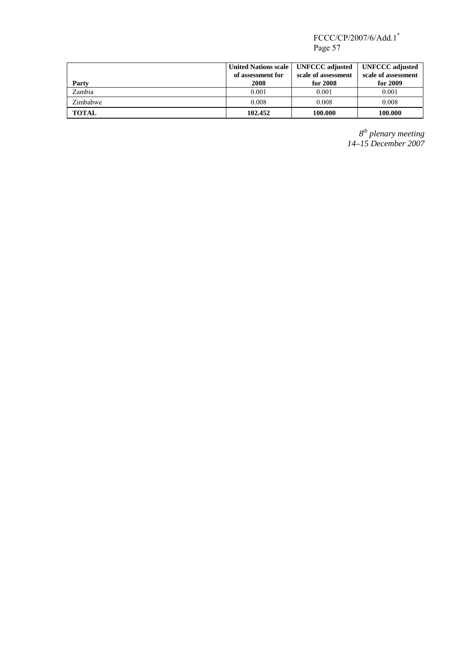|              | <b>United Nations scale</b><br>of assessment for | <b>UNFCCC</b> adjusted<br>scale of assessment | <b>UNFCCC</b> adjusted<br>scale of assessment |
|--------------|--------------------------------------------------|-----------------------------------------------|-----------------------------------------------|
| Party        | 2008                                             | for 2008                                      | for 2009                                      |
| Zambia       | 0.001                                            | 0.001                                         | 0.001                                         |
| Zimbabwe     | 0.008                                            | 0.008                                         | 0.008                                         |
| <b>TOTAL</b> | 102.452                                          | 100.000                                       | 100.000                                       |

*8th plenary meeting 14–15 December 2007*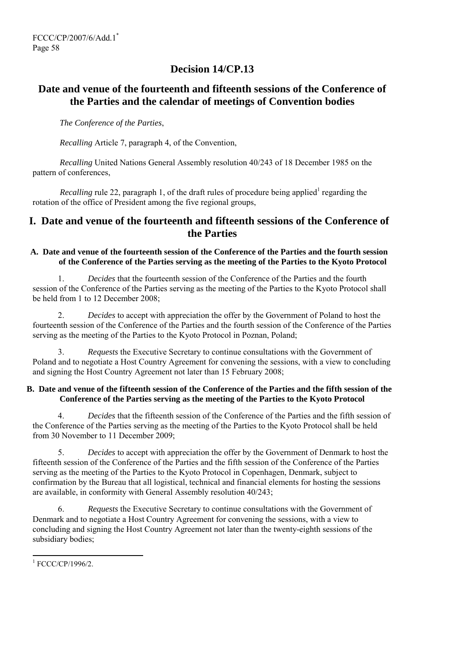# **Decision 14/CP.13**

# **Date and venue of the fourteenth and fifteenth sessions of the Conference of the Parties and the calendar of meetings of Convention bodies**

### *The Conference of the Parties*,

*Recalling* Article 7, paragraph 4, of the Convention,

*Recalling* United Nations General Assembly resolution 40/243 of 18 December 1985 on the pattern of conferences,

*Recalling* rule 22, paragraph 1, of the draft rules of procedure being applied<sup>1</sup> regarding the rotation of the office of President among the five regional groups,

# **I. Date and venue of the fourteenth and fifteenth sessions of the Conference of the Parties**

### **A. Date and venue of the fourteenth session of the Conference of the Parties and the fourth session of the Conference of the Parties serving as the meeting of the Parties to the Kyoto Protocol**

1. *Decides* that the fourteenth session of the Conference of the Parties and the fourth session of the Conference of the Parties serving as the meeting of the Parties to the Kyoto Protocol shall be held from 1 to 12 December 2008;

2. *Decides* to accept with appreciation the offer by the Government of Poland to host the fourteenth session of the Conference of the Parties and the fourth session of the Conference of the Parties serving as the meeting of the Parties to the Kyoto Protocol in Poznan, Poland;

3. *Requests* the Executive Secretary to continue consultations with the Government of Poland and to negotiate a Host Country Agreement for convening the sessions, with a view to concluding and signing the Host Country Agreement not later than 15 February 2008;

### **B. Date and venue of the fifteenth session of the Conference of the Parties and the fifth session of the Conference of the Parties serving as the meeting of the Parties to the Kyoto Protocol**

4. *Decides* that the fifteenth session of the Conference of the Parties and the fifth session of the Conference of the Parties serving as the meeting of the Parties to the Kyoto Protocol shall be held from 30 November to 11 December 2009;

5. *Decides* to accept with appreciation the offer by the Government of Denmark to host the fifteenth session of the Conference of the Parties and the fifth session of the Conference of the Parties serving as the meeting of the Parties to the Kyoto Protocol in Copenhagen, Denmark, subject to confirmation by the Bureau that all logistical, technical and financial elements for hosting the sessions are available, in conformity with General Assembly resolution 40/243;

6. *Requests* the Executive Secretary to continue consultations with the Government of Denmark and to negotiate a Host Country Agreement for convening the sessions, with a view to concluding and signing the Host Country Agreement not later than the twenty-eighth sessions of the subsidiary bodies;

 $\overline{\phantom{a}}$ <sup>1</sup> FCCC/CP/1996/2.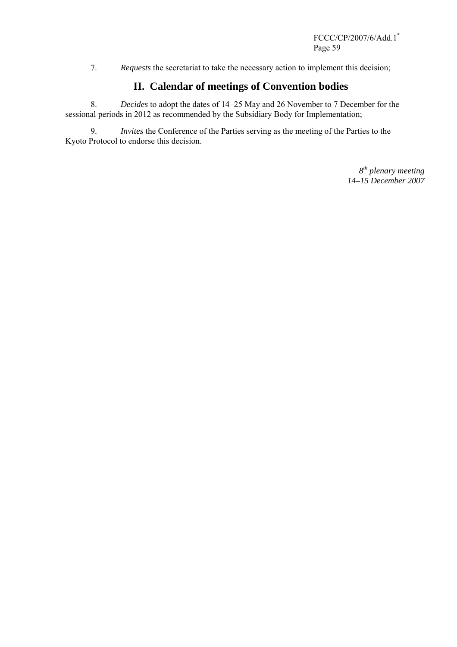7. *Requests* the secretariat to take the necessary action to implement this decision;

# **II. Calendar of meetings of Convention bodies**

8. *Decides* to adopt the dates of 14–25 May and 26 November to 7 December for the sessional periods in 2012 as recommended by the Subsidiary Body for Implementation;

9. *Invites* the Conference of the Parties serving as the meeting of the Parties to the Kyoto Protocol to endorse this decision.

> *8th plenary meeting 14–15 December 2007*